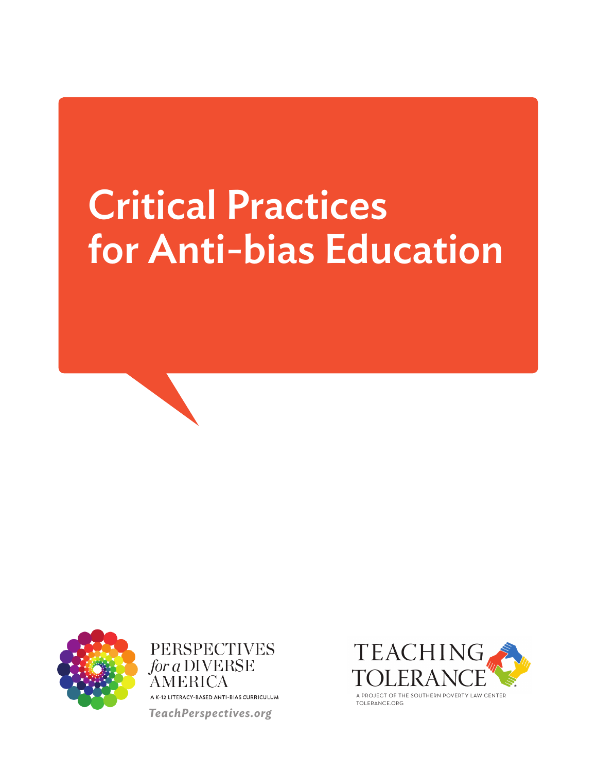# Critical Practices for Anti-bias Education



**PERSPECTIVES** for a DIVERSE AMERICA A K-12 LITERACY-BASED ANTI-BIAS CURRICULUM *TeachPerspectives.org*



TOLERANCE.ORG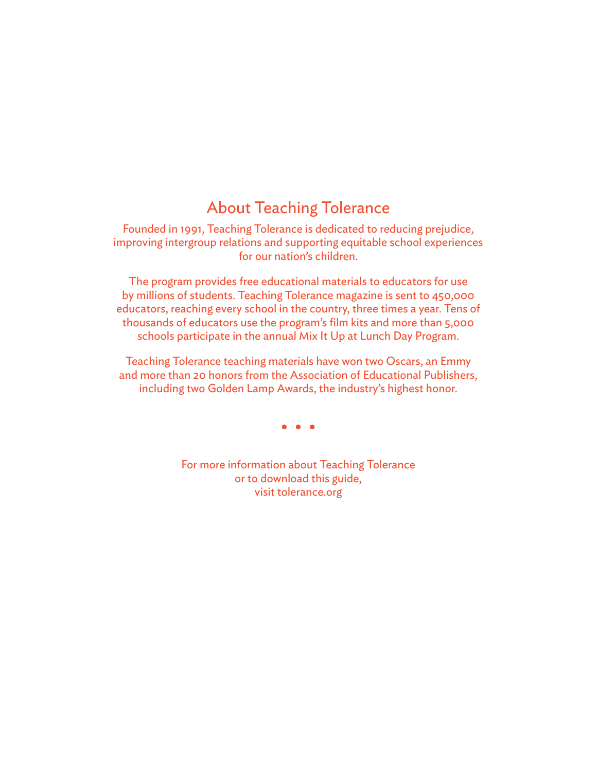### About Teaching Tolerance

Founded in 1991, Teaching Tolerance is dedicated to reducing prejudice, improving intergroup relations and supporting equitable school experiences for our nation's children.

The program provides free educational materials to educators for use by millions of students. Teaching Tolerance magazine is sent to 450,000 educators, reaching every school in the country, three times a year. Tens of thousands of educators use the program's film kits and more than 5,000 schools participate in the annual Mix It Up at Lunch Day Program.

Teaching Tolerance teaching materials have won two Oscars, an Emmy and more than 20 honors from the Association of Educational Publishers, including two Golden Lamp Awards, the industry's highest honor.

For more information about Teaching Tolerance or to download this guide, visit tolerance.org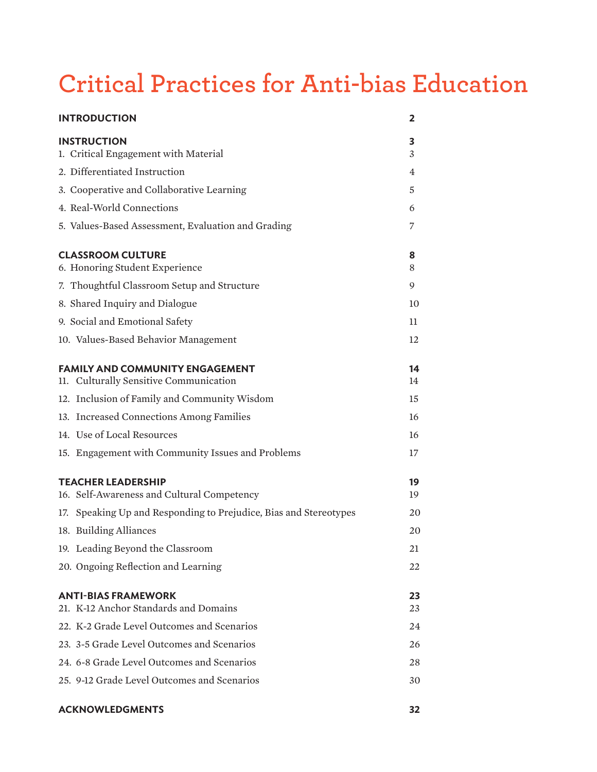## **Critical Practices for Anti-bias Education**

| <b>INTRODUCTION</b>                                                              | 2        |
|----------------------------------------------------------------------------------|----------|
| <b>INSTRUCTION</b><br>1. Critical Engagement with Material                       | 3<br>3   |
| 2. Differentiated Instruction                                                    | 4        |
| 3. Cooperative and Collaborative Learning                                        | 5        |
| 4. Real-World Connections                                                        | 6        |
| 5. Values-Based Assessment, Evaluation and Grading                               | 7        |
| <b>CLASSROOM CULTURE</b><br>6. Honoring Student Experience                       | 8<br>8   |
| 7. Thoughtful Classroom Setup and Structure                                      | 9        |
| 8. Shared Inquiry and Dialogue                                                   | 10       |
| 9. Social and Emotional Safety                                                   | 11       |
| 10. Values-Based Behavior Management                                             | 12       |
| <b>FAMILY AND COMMUNITY ENGAGEMENT</b><br>11. Culturally Sensitive Communication | 14<br>14 |
| 12. Inclusion of Family and Community Wisdom                                     | 15       |
| 13. Increased Connections Among Families                                         | 16       |
| 14. Use of Local Resources                                                       | 16       |
| 15. Engagement with Community Issues and Problems                                | 17       |
| <b>TEACHER LEADERSHIP</b><br>16. Self-Awareness and Cultural Competency          | 19<br>19 |
| 17. Speaking Up and Responding to Prejudice, Bias and Stereotypes                | 20       |
| 18. Building Alliances                                                           | 20       |
| 19. Leading Beyond the Classroom                                                 | 21       |
| 20. Ongoing Reflection and Learning                                              | 22       |
| <b>ANTI-BIAS FRAMEWORK</b><br>21. K-12 Anchor Standards and Domains              | 23<br>23 |
| 22. K-2 Grade Level Outcomes and Scenarios                                       | 24       |
| 23. 3-5 Grade Level Outcomes and Scenarios                                       | 26       |
| 24. 6-8 Grade Level Outcomes and Scenarios                                       | 28       |
| 25. 9-12 Grade Level Outcomes and Scenarios                                      | 30       |

#### **ACKNOWLEDGMENTS 32**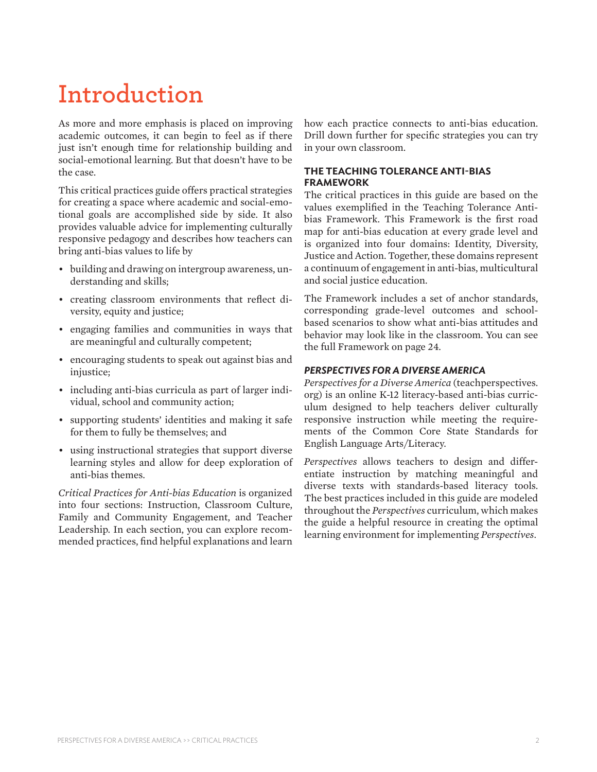## **Introduction**

As more and more emphasis is placed on improving academic outcomes, it can begin to feel as if there just isn't enough time for relationship building and social-emotional learning. But that doesn't have to be the case.

This critical practices guide offers practical strategies for creating a space where academic and social-emotional goals are accomplished side by side. It also provides valuable advice for implementing culturally responsive pedagogy and describes how teachers can bring anti-bias values to life by

- building and drawing on intergroup awareness, understanding and skills;
- • creating classroom environments that reflect diversity, equity and justice;
- • engaging families and communities in ways that are meaningful and culturally competent;
- encouraging students to speak out against bias and injustice;
- including anti-bias curricula as part of larger individual, school and community action;
- supporting students' identities and making it safe for them to fully be themselves; and
- • using instructional strategies that support diverse learning styles and allow for deep exploration of anti-bias themes.

*Critical Practices for Anti-bias Education* is organized into four sections: Instruction, Classroom Culture, Family and Community Engagement, and Teacher Leadership. In each section, you can explore recommended practices, find helpful explanations and learn

how each practice connects to anti-bias education. Drill down further for specific strategies you can try in your own classroom.

#### **THE TEACHING TOLERANCE ANTI-BIAS FRAMEWORK**

The critical practices in this guide are based on the values exemplified in the Teaching Tolerance Antibias Framework. This Framework is the first road map for anti-bias education at every grade level and is organized into four domains: Identity, Diversity, Justice and Action. Together, these domains represent a continuum of engagement in anti-bias, multicultural and social justice education.

The Framework includes a set of anchor standards, corresponding grade-level outcomes and schoolbased scenarios to show what anti-bias attitudes and behavior may look like in the classroom. You can see the full Framework on page 24.

#### *PERSPECTIVES FOR A DIVERSE AMERICA*

*Perspectives for a Diverse America* (teachperspectives. org) is an online K-12 literacy-based anti-bias curriculum designed to help teachers deliver culturally responsive instruction while meeting the requirements of the Common Core State Standards for English Language Arts/Literacy.

*Perspectives* allows teachers to design and differentiate instruction by matching meaningful and diverse texts with standards-based literacy tools. The best practices included in this guide are modeled throughout the *Perspectives* curriculum, which makes the guide a helpful resource in creating the optimal learning environment for implementing *Perspectives*.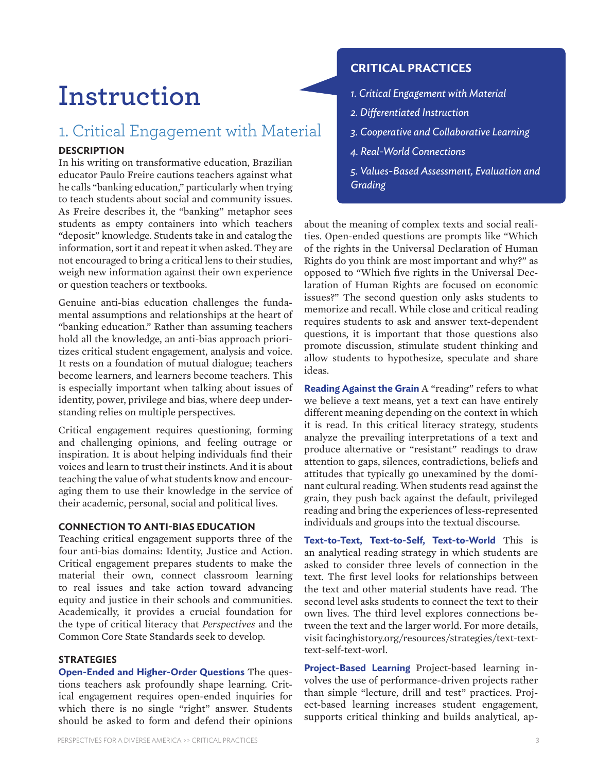## **Instruction**

### 1. Critical Engagement with Material

#### **DESCRIPTION**

In his writing on transformative education, Brazilian educator Paulo Freire cautions teachers against what he calls "banking education," particularly when trying to teach students about social and community issues. As Freire describes it, the "banking" metaphor sees students as empty containers into which teachers "deposit" knowledge. Students take in and catalog the information, sort it and repeat it when asked. They are not encouraged to bring a critical lens to their studies, weigh new information against their own experience or question teachers or textbooks.

Genuine anti-bias education challenges the fundamental assumptions and relationships at the heart of "banking education." Rather than assuming teachers hold all the knowledge, an anti-bias approach prioritizes critical student engagement, analysis and voice. It rests on a foundation of mutual dialogue; teachers become learners, and learners become teachers. This is especially important when talking about issues of identity, power, privilege and bias, where deep understanding relies on multiple perspectives.

Critical engagement requires questioning, forming and challenging opinions, and feeling outrage or inspiration. It is about helping individuals find their voices and learn to trust their instincts. And it is about teaching the value of what students know and encouraging them to use their knowledge in the service of their academic, personal, social and political lives.

#### **CONNECTION TO ANTI-BIAS EDUCATION**

Teaching critical engagement supports three of the four anti-bias domains: Identity, Justice and Action. Critical engagement prepares students to make the material their own, connect classroom learning to real issues and take action toward advancing equity and justice in their schools and communities. Academically, it provides a crucial foundation for the type of critical literacy that *Perspectives* and the Common Core State Standards seek to develop.

#### **STRATEGIES**

**Open-Ended and Higher-Order Questions** The questions teachers ask profoundly shape learning. Critical engagement requires open-ended inquiries for which there is no single "right" answer. Students should be asked to form and defend their opinions

#### **CRITICAL PRACTICES**

- *1. Critical Engagement with Material*
- *2. Differentiated Instruction*
- *3. Cooperative and Collaborative Learning*
- *4. Real-World Connections*
- *5. Values-Based Assessment, Evaluation and Grading*

about the meaning of complex texts and social realities. Open-ended questions are prompts like "Which of the rights in the Universal Declaration of Human Rights do you think are most important and why?" as opposed to "Which five rights in the Universal Declaration of Human Rights are focused on economic issues?" The second question only asks students to memorize and recall. While close and critical reading requires students to ask and answer text-dependent questions, it is important that those questions also promote discussion, stimulate student thinking and allow students to hypothesize, speculate and share ideas.

**Reading Against the Grain** A "reading" refers to what we believe a text means, yet a text can have entirely different meaning depending on the context in which it is read. In this critical literacy strategy, students analyze the prevailing interpretations of a text and produce alternative or "resistant" readings to draw attention to gaps, silences, contradictions, beliefs and attitudes that typically go unexamined by the dominant cultural reading. When students read against the grain, they push back against the default, privileged reading and bring the experiences of less-represented individuals and groups into the textual discourse.

**Text-to-Text, Text-to-Self, Text-to-World** This is an analytical reading strategy in which students are asked to consider three levels of connection in the text. The first level looks for relationships between the text and other material students have read. The second level asks students to connect the text to their own lives. The third level explores connections between the text and the larger world. For more details, visit facinghistory.org/resources/strategies/text-texttext-self-text-worl.

**Project-Based Learning** Project-based learning involves the use of performance-driven projects rather than simple "lecture, drill and test" practices. Project-based learning increases student engagement, supports critical thinking and builds analytical, ap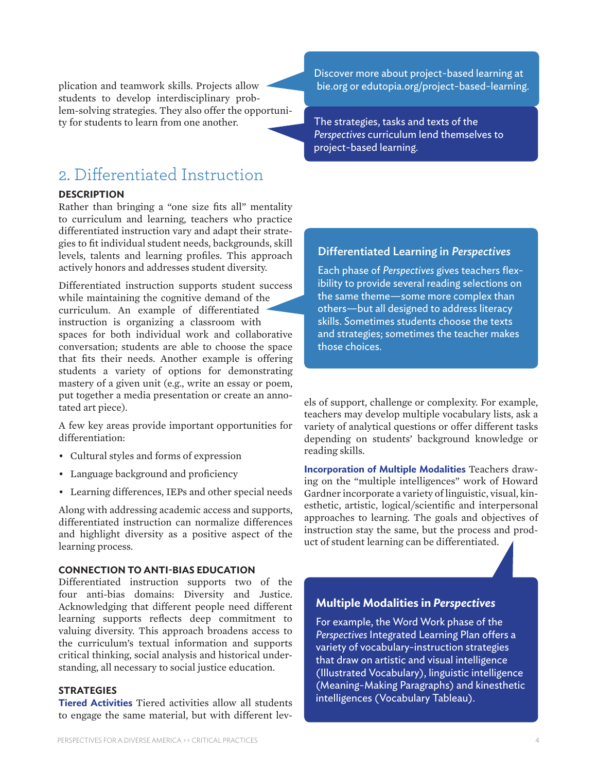plication and teamwork skills. Projects allow students to develop interdisciplinary problem-solving strategies. They also offer the opportunity for students to learn from one another.

### 2. Differentiated Instruction

#### **DESCRIPTION**

Rather than bringing a "one size fits all" mentality to curriculum and learning, teachers who practice differentiated instruction vary and adapt their strategies to fit individual student needs, backgrounds, skill levels, talents and learning profiles. This approach actively honors and addresses student diversity.

Differentiated instruction supports student success while maintaining the cognitive demand of the curriculum. An example of differentiated instruction is organizing a classroom with spaces for both individual work and collaborative conversation; students are able to choose the space that fits their needs. Another example is offering students a variety of options for demonstrating mastery of a given unit (e.g., write an essay or poem, put together a media presentation or create an annotated art piece).

A few key areas provide important opportunities for differentiation:

- • Cultural styles and forms of expression
- Language background and proficiency
- • Learning differences, IEPs and other special needs

Along with addressing academic access and supports, differentiated instruction can normalize differences and highlight diversity as a positive aspect of the learning process.

#### **CONNECTION TO ANTI-BIAS EDUCATION**

Differentiated instruction supports two of the four anti-bias domains: Diversity and Justice. Acknowledging that different people need different learning supports reflects deep commitment to valuing diversity. This approach broadens access to the curriculum's textual information and supports critical thinking, social analysis and historical understanding, all necessary to social justice education.

#### **STRATEGIES**

**Tiered Activities** Tiered activities allow all students to engage the same material, but with different levDiscover more about project-based learning at bie.org or edutopia.org/project-based-learning.

The strategies, tasks and texts of the *Perspectives* curriculum lend themselves to project-based learning.

#### Differentiated Learning in *Perspectives*

Each phase of *Perspectives* gives teachers flexibility to provide several reading selections on the same theme—some more complex than others—but all designed to address literacy skills. Sometimes students choose the texts and strategies; sometimes the teacher makes those choices.

els of support, challenge or complexity. For example, teachers may develop multiple vocabulary lists, ask a variety of analytical questions or offer different tasks depending on students' background knowledge or reading skills.

**Incorporation of Multiple Modalities** Teachers drawing on the "multiple intelligences" work of Howard Gardner incorporate a variety of linguistic, visual, kinesthetic, artistic, logical/scientific and interpersonal approaches to learning. The goals and objectives of instruction stay the same, but the process and product of student learning can be differentiated.

#### **Multiple Modalities in** *Perspectives*

For example, the Word Work phase of the *Perspectives* Integrated Learning Plan offers a variety of vocabulary-instruction strategies that draw on artistic and visual intelligence (Illustrated Vocabulary), linguistic intelligence (Meaning-Making Paragraphs) and kinesthetic intelligences (Vocabulary Tableau).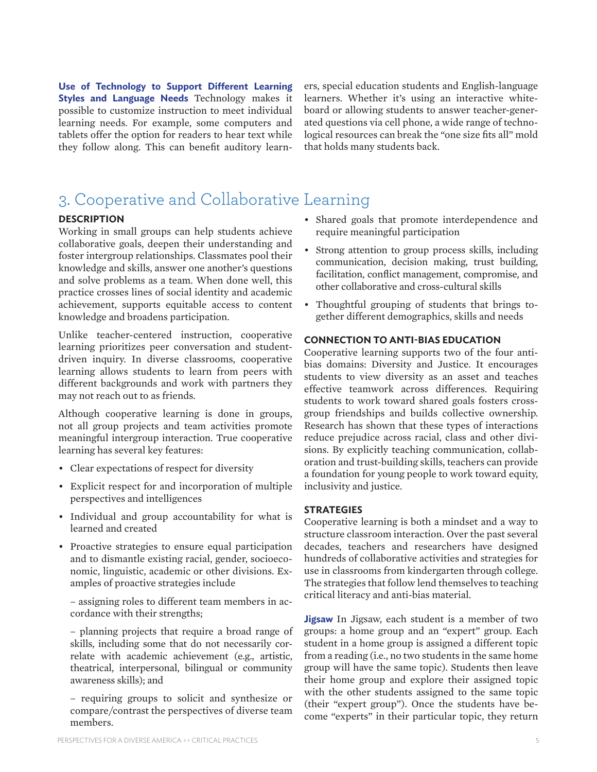**Use of Technology to Support Different Learning Styles and Language Needs** Technology makes it possible to customize instruction to meet individual learning needs. For example, some computers and tablets offer the option for readers to hear text while they follow along. This can benefit auditory learners, special education students and English-language learners. Whether it's using an interactive whiteboard or allowing students to answer teacher-generated questions via cell phone, a wide range of technological resources can break the "one size fits all" mold that holds many students back.

### 3. Cooperative and Collaborative Learning

#### **DESCRIPTION**

Working in small groups can help students achieve collaborative goals, deepen their understanding and foster intergroup relationships. Classmates pool their knowledge and skills, answer one another's questions and solve problems as a team. When done well, this practice crosses lines of social identity and academic achievement, supports equitable access to content knowledge and broadens participation.

Unlike teacher-centered instruction, cooperative learning prioritizes peer conversation and studentdriven inquiry. In diverse classrooms, cooperative learning allows students to learn from peers with different backgrounds and work with partners they may not reach out to as friends.

Although cooperative learning is done in groups, not all group projects and team activities promote meaningful intergroup interaction. True cooperative learning has several key features:

- • Clear expectations of respect for diversity
- Explicit respect for and incorporation of multiple perspectives and intelligences
- Individual and group accountability for what is learned and created
- • Proactive strategies to ensure equal participation and to dismantle existing racial, gender, socioeconomic, linguistic, academic or other divisions. Examples of proactive strategies include

– assigning roles to different team members in accordance with their strengths;

– planning projects that require a broad range of skills, including some that do not necessarily correlate with academic achievement (e.g., artistic, theatrical, interpersonal, bilingual or community awareness skills); and

– requiring groups to solicit and synthesize or compare/contrast the perspectives of diverse team members.

- • Shared goals that promote interdependence and require meaningful participation
- Strong attention to group process skills, including communication, decision making, trust building, facilitation, conflict management, compromise, and other collaborative and cross-cultural skills
- Thoughtful grouping of students that brings together different demographics, skills and needs

#### **CONNECTION TO ANTI-BIAS EDUCATION**

Cooperative learning supports two of the four antibias domains: Diversity and Justice. It encourages students to view diversity as an asset and teaches effective teamwork across differences. Requiring students to work toward shared goals fosters crossgroup friendships and builds collective ownership. Research has shown that these types of interactions reduce prejudice across racial, class and other divisions. By explicitly teaching communication, collaboration and trust-building skills, teachers can provide a foundation for young people to work toward equity, inclusivity and justice.

#### **STRATEGIES**

Cooperative learning is both a mindset and a way to structure classroom interaction. Over the past several decades, teachers and researchers have designed hundreds of collaborative activities and strategies for use in classrooms from kindergarten through college. The strategies that follow lend themselves to teaching critical literacy and anti-bias material.

**Jigsaw** In Jigsaw, each student is a member of two groups: a home group and an "expert" group. Each student in a home group is assigned a different topic from a reading (i.e., no two students in the same home group will have the same topic). Students then leave their home group and explore their assigned topic with the other students assigned to the same topic (their "expert group"). Once the students have become "experts" in their particular topic, they return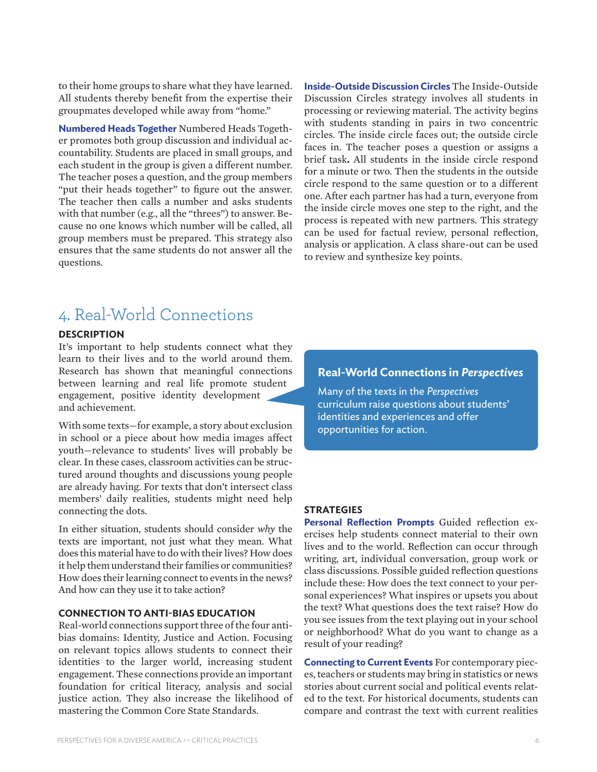to their home groups to share what they have learned. All students thereby benefit from the expertise their groupmates developed while away from "home."

**Numbered Heads Together** Numbered Heads Together promotes both group discussion and individual accountability. Students are placed in small groups, and each student in the group is given a different number. The teacher poses a question, and the group members "put their heads together" to figure out the answer. The teacher then calls a number and asks students with that number (e.g., all the "threes") to answer. Because no one knows which number will be called, all group members must be prepared. This strategy also ensures that the same students do not answer all the questions.

**Inside-Outside Discussion Circles** The Inside-Outside Discussion Circles strategy involves all students in processing or reviewing material. The activity begins with students standing in pairs in two concentric circles. The inside circle faces out; the outside circle faces in. The teacher poses a question or assigns a brief task**.** All students in the inside circle respond for a minute or two. Then the students in the outside circle respond to the same question or to a different one. After each partner has had a turn, everyone from the inside circle moves one step to the right, and the process is repeated with new partners. This strategy can be used for factual review, personal reflection, analysis or application. A class share-out can be used to review and synthesize key points.

### 4. Real-World Connections

#### **DESCRIPTION**

It's important to help students connect what they learn to their lives and to the world around them. Research has shown that meaningful connections between learning and real life promote student engagement, positive identity development and achievement.

With some texts—for example, a story about exclusion in school or a piece about how media images affect youth—relevance to students' lives will probably be clear. In these cases, classroom activities can be structured around thoughts and discussions young people are already having. For texts that don't intersect class members' daily realities, students might need help connecting the dots.

In either situation, students should consider *why* the texts are important, not just what they mean. What does this material have to dowith their lives? Howdoes it help them understand their families or communities? How does their learning connect to events in the news? And how can they use it to take action?

#### **CONNECTION TO ANTI-BIAS EDUCATION**

Real-world connections support three of the four antibias domains: Identity, Justice and Action. Focusing on relevant topics allows students to connect their identities to the larger world, increasing student engagement. These connections provide an important foundation for critical literacy, analysis and social justice action. They also increase the likelihood of mastering the Common Core State Standards.

#### **Real-World Connections in** *Perspectives*

Many of the texts in the *Perspectives* curriculum raise questions about students' identities and experiences and offer opportunities for action.

#### **STRATEGIES**

**Personal Reflection Prompts** Guided reflection exercises help students connect material to their own lives and to the world. Reflection can occur through writing, art, individual conversation, group work or class discussions. Possible guided reflection questions include these: How does the text connect to your personal experiences? What inspires or upsets you about the text? What questions does the text raise? How do you see issues from the text playing out in your school or neighborhood? What do you want to change as a result of your reading?

**Connecting to Current Events** For contemporary pieces, teachers or students may bring in statistics or news stories about current social and political events related to the text. For historical documents, students can compare and contrast the text with current realities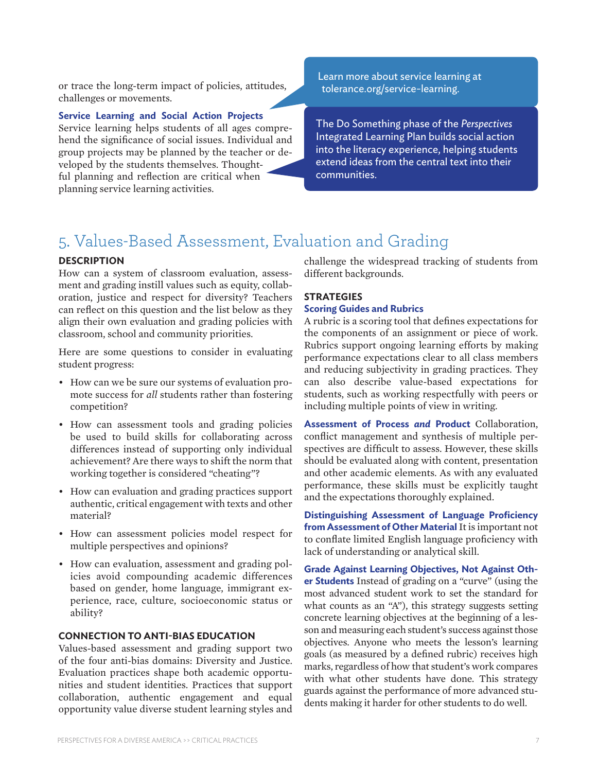or trace the long-term impact of policies, attitudes, challenges or movements.

#### **Service Learning and Social Action Projects**

Service learning helps students of all ages comprehend the significance of social issues. Individual and group projects may be planned by the teacher or developed by the students themselves. Thoughtful planning and reflection are critical when planning service learning activities.

Learn more about service learning at tolerance.org/service-learning.

The Do Something phase of the *Perspectives* Integrated Learning Plan builds social action into the literacy experience, helping students extend ideas from the central text into their communities.

### 5. Values-Based Assessment, Evaluation and Grading

#### **DESCRIPTION**

How can a system of classroom evaluation, assessment and grading instill values such as equity, collaboration, justice and respect for diversity? Teachers can reflect on this question and the list below as they align their own evaluation and grading policies with classroom, school and community priorities.

Here are some questions to consider in evaluating student progress:

- How can we be sure our systems of evaluation promote success for *all* students rather than fostering competition?
- How can assessment tools and grading policies be used to build skills for collaborating across differences instead of supporting only individual achievement? Are there ways to shift the norm that working together is considered "cheating"?
- How can evaluation and grading practices support authentic, critical engagement with texts and other material?
- How can assessment policies model respect for multiple perspectives and opinions?
- How can evaluation, assessment and grading policies avoid compounding academic differences based on gender, home language, immigrant experience, race, culture, socioeconomic status or ability?

#### **CONNECTION TO ANTI-BIAS EDUCATION**

Values-based assessment and grading support two of the four anti-bias domains: Diversity and Justice. Evaluation practices shape both academic opportunities and student identities. Practices that support collaboration, authentic engagement and equal opportunity value diverse student learning styles and challenge the widespread tracking of students from different backgrounds.

#### **STRATEGIES**

#### **Scoring Guides and Rubrics**

A rubric is a scoring tool that defines expectations for the components of an assignment or piece of work. Rubrics support ongoing learning efforts by making performance expectations clear to all class members and reducing subjectivity in grading practices. They can also describe value-based expectations for students, such as working respectfully with peers or including multiple points of view in writing.

**Assessment of Process** *and* **Product** Collaboration, conflict management and synthesis of multiple perspectives are difficult to assess. However, these skills should be evaluated along with content, presentation and other academic elements. As with any evaluated performance, these skills must be explicitly taught and the expectations thoroughly explained.

**Distinguishing Assessment of Language Proficiency from Assessment of Other Material** It is important not to conflate limited English language proficiency with lack of understanding or analytical skill.

**Grade Against Learning Objectives, Not Against Other Students** Instead of grading on a "curve" (using the most advanced student work to set the standard for what counts as an "A"), this strategy suggests setting concrete learning objectives at the beginning of a lesson and measuring each student's success against those objectives. Anyone who meets the lesson's learning goals (as measured by a defined rubric) receives high marks, regardless of how that student's work compares with what other students have done. This strategy guards against the performance of more advanced students making it harder for other students to do well.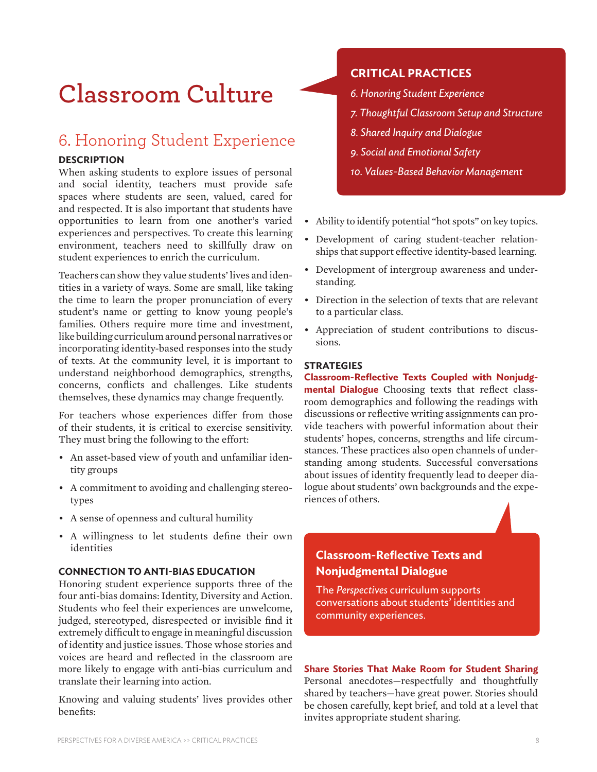## **Classroom Culture**

### 6. Honoring Student Experience

#### **DESCRIPTION**

When asking students to explore issues of personal and social identity, teachers must provide safe spaces where students are seen, valued, cared for and respected. It is also important that students have opportunities to learn from one another's varied experiences and perspectives. To create this learning environment, teachers need to skillfully draw on student experiences to enrich the curriculum.

Teachers can showthey value students' lives and identities in a variety of ways. Some are small, like taking the time to learn the proper pronunciation of every student's name or getting to know young people's families. Others require more time and investment, like building curriculum around personal narratives or incorporating identity-based responses into the study of texts. At the community level, it is important to understand neighborhood demographics, strengths, concerns, conflicts and challenges. Like students themselves, these dynamics may change frequently.

For teachers whose experiences differ from those of their students, it is critical to exercise sensitivity. They must bring the following to the effort:

- An asset-based view of youth and unfamiliar identity groups
- • A commitment to avoiding and challenging stereotypes
- • A sense of openness and cultural humility
- • A willingness to let students define their own identities

#### **CONNECTION TO ANTI-BIAS EDUCATION**

Honoring student experience supports three of the four anti-bias domains: Identity, Diversity and Action. Students who feel their experiences are unwelcome, judged, stereotyped, disrespected or invisible find it extremely difficult to engage in meaningful discussion of identity and justice issues. Those whose stories and voices are heard and reflected in the classroom are more likely to engage with anti-bias curriculum and translate their learning into action.

Knowing and valuing students' lives provides other benefits:

#### **CRITICAL PRACTICES**

- *6. Honoring Student Experience*
- *7. Thoughtful Classroom Setup and Structure*
- *8. Shared Inquiry and Dialogue*
- *9. Social and Emotional Safety*
- *10. Values-Based Behavior Management*
- Ability to identify potential "hot spots" on key topics.
- • Development of caring student-teacher relationships that support effective identity-based learning.
- Development of intergroup awareness and understanding.
- • Direction in the selection of texts that are relevant to a particular class.
- • Appreciation of student contributions to discussions.

#### **STRATEGIES**

**Classroom-Reflective Texts Coupled with Nonjudgmental Dialogue** Choosing texts that reflect classroom demographics and following the readings with discussions or reflective writing assignments can provide teachers with powerful information about their students' hopes, concerns, strengths and life circumstances. These practices also open channels of understanding among students. Successful conversations about issues of identity frequently lead to deeper dialogue about students' own backgrounds and the experiences of others.

### **Classroom-Reflective Texts and Nonjudgmental Dialogue**

The *Perspectives* curriculum supports conversations about students' identities and community experiences.

**Share Stories That Make Room for Student Sharing**  Personal anecdotes—respectfully and thoughtfully shared by teachers—have great power. Stories should be chosen carefully, kept brief, and told at a level that invites appropriate student sharing.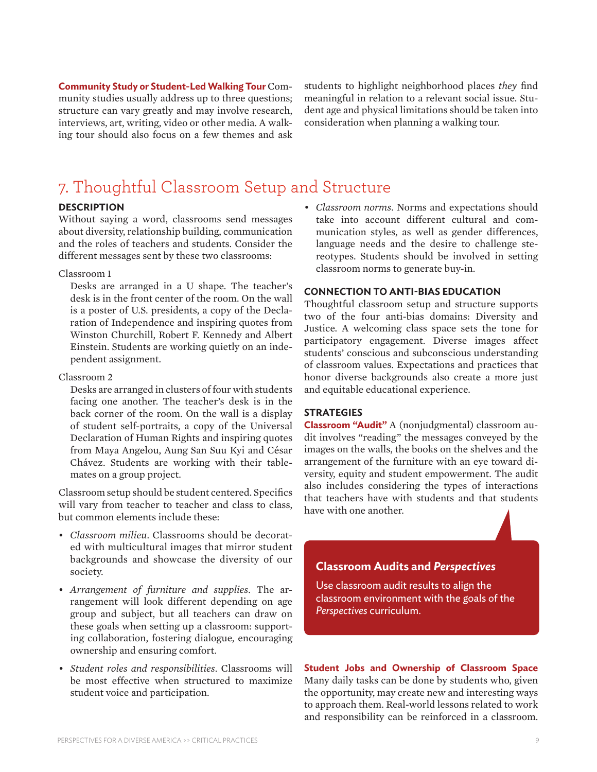**Community Study or Student-Led Walking Tour** Community studies usually address up to three questions; structure can vary greatly and may involve research, interviews, art, writing, video or other media. A walking tour should also focus on a few themes and ask students to highlight neighborhood places *they* find meaningful in relation to a relevant social issue. Student age and physical limitations should be taken into consideration when planning a walking tour.

### 7. Thoughtful Classroom Setup and Structure

#### **DESCRIPTION**

Without saying a word, classrooms send messages about diversity, relationship building, communication and the roles of teachers and students. Consider the different messages sent by these two classrooms:

#### Classroom 1

Desks are arranged in a U shape. The teacher's desk is in the front center of the room. On the wall is a poster of U.S. presidents, a copy of the Declaration of Independence and inspiring quotes from Winston Churchill, Robert F. Kennedy and Albert Einstein. Students are working quietly on an independent assignment.

#### Classroom 2

Desks are arranged in clusters of four with students facing one another. The teacher's desk is in the back corner of the room. On the wall is a display of student self-portraits, a copy of the Universal Declaration of Human Rights and inspiring quotes from Maya Angelou, Aung San Suu Kyi and César Chávez. Students are working with their tablemates on a group project.

Classroom setup should be student centered. Specifics will vary from teacher to teacher and class to class, but common elements include these:

- *• Classroom milieu*. Classrooms should be decorated with multicultural images that mirror student backgrounds and showcase the diversity of our society.
- *• Arrangement of furniture and supplies*. The arrangement will look different depending on age group and subject, but all teachers can draw on these goals when setting up a classroom: supporting collaboration, fostering dialogue, encouraging ownership and ensuring comfort.
- *• Student roles and responsibilities*. Classrooms will be most effective when structured to maximize student voice and participation.

*• Classroom norms*. Norms and expectations should take into account different cultural and communication styles, as well as gender differences, language needs and the desire to challenge stereotypes. Students should be involved in setting classroom norms to generate buy-in.

#### **CONNECTION TO ANTI-BIAS EDUCATION**

Thoughtful classroom setup and structure supports two of the four anti-bias domains: Diversity and Justice. A welcoming class space sets the tone for participatory engagement. Diverse images affect students' conscious and subconscious understanding of classroom values. Expectations and practices that honor diverse backgrounds also create a more just and equitable educational experience.

#### **STRATEGIES**

**Classroom "Audit"** A (nonjudgmental) classroom audit involves "reading" the messages conveyed by the images on the walls, the books on the shelves and the arrangement of the furniture with an eye toward diversity, equity and student empowerment. The audit also includes considering the types of interactions that teachers have with students and that students have with one another.

#### **Classroom Audits and** *Perspectives*

Use classroom audit results to align the classroom environment with the goals of the *Perspectives* curriculum.

**Student Jobs and Ownership of Classroom Space**  Many daily tasks can be done by students who, given the opportunity, may create new and interesting ways to approach them. Real-world lessons related to work and responsibility can be reinforced in a classroom.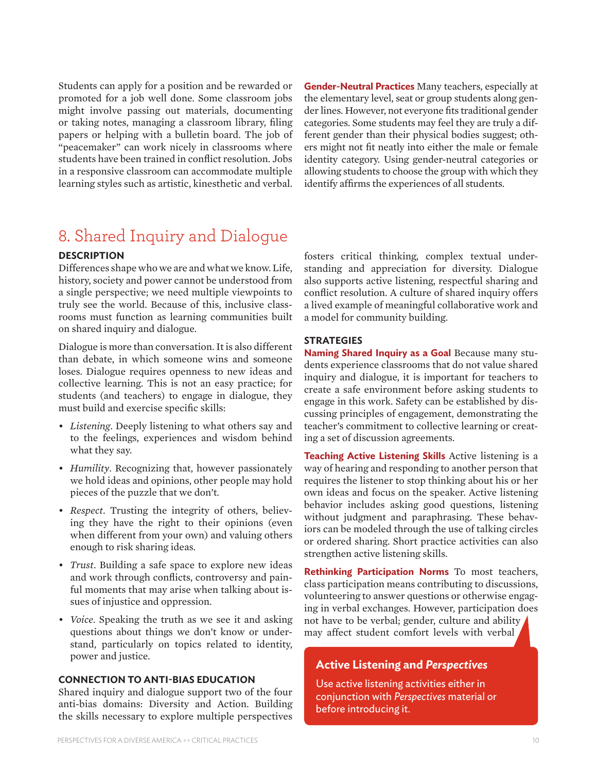Students can apply for a position and be rewarded or promoted for a job well done. Some classroom jobs might involve passing out materials, documenting or taking notes, managing a classroom library, filing papers or helping with a bulletin board. The job of "peacemaker" can work nicely in classrooms where students have been trained in conflict resolution. Jobs in a responsive classroom can accommodate multiple learning styles such as artistic, kinesthetic and verbal.

**Gender-Neutral Practices** Many teachers, especially at the elementary level, seat or group students along gender lines. However, not everyone fits traditional gender categories. Some students may feel they are truly a different gender than their physical bodies suggest; others might not fit neatly into either the male or female identity category. Using gender-neutral categories or allowing students to choose the group with which they identify affirms the experiences of all students.

### 8. Shared Inquiry and Dialogue

#### **DESCRIPTION**

Differences shape who we are and what we know. Life, history, society and power cannot be understood from a single perspective; we need multiple viewpoints to truly see the world. Because of this, inclusive classrooms must function as learning communities built on shared inquiry and dialogue.

Dialogue is more than conversation. It is also different than debate, in which someone wins and someone loses. Dialogue requires openness to new ideas and collective learning. This is not an easy practice; for students (and teachers) to engage in dialogue, they must build and exercise specific skills:

- *• Listening*. Deeply listening to what others say and to the feelings, experiences and wisdom behind what they say.
- *• Humility*. Recognizing that, however passionately we hold ideas and opinions, other people may hold pieces of the puzzle that we don't.
- *• Respect*. Trusting the integrity of others, believing they have the right to their opinions (even when different from your own) and valuing others enough to risk sharing ideas.
- *• Trust*. Building a safe space to explore new ideas and work through conflicts, controversy and painful moments that may arise when talking about issues of injustice and oppression.
- *• Voice*. Speaking the truth as we see it and asking questions about things we don't know or understand, particularly on topics related to identity, power and justice.

#### **CONNECTION TO ANTI-BIAS EDUCATION**

Shared inquiry and dialogue support two of the four anti-bias domains: Diversity and Action. Building the skills necessary to explore multiple perspectives fosters critical thinking, complex textual understanding and appreciation for diversity. Dialogue also supports active listening, respectful sharing and conflict resolution. A culture of shared inquiry offers a lived example of meaningful collaborative work and a model for community building.

#### **STRATEGIES**

**Naming Shared Inquiry as a Goal** Because many students experience classrooms that do not value shared inquiry and dialogue, it is important for teachers to create a safe environment before asking students to engage in this work. Safety can be established by discussing principles of engagement, demonstrating the teacher's commitment to collective learning or creating a set of discussion agreements.

**Teaching Active Listening Skills** Active listening is a way of hearing and responding to another person that requires the listener to stop thinking about his or her own ideas and focus on the speaker. Active listening behavior includes asking good questions, listening without judgment and paraphrasing. These behaviors can be modeled through the use of talking circles or ordered sharing. Short practice activities can also strengthen active listening skills.

**Rethinking Participation Norms** To most teachers, class participation means contributing to discussions, volunteering to answer questions or otherwise engaging in verbal exchanges. However, participation does not have to be verbal; gender, culture and ability may affect student comfort levels with verbal

#### **Active Listening and** *Perspectives*

Use active listening activities either in conjunction with *Perspectives* material or before introducing it.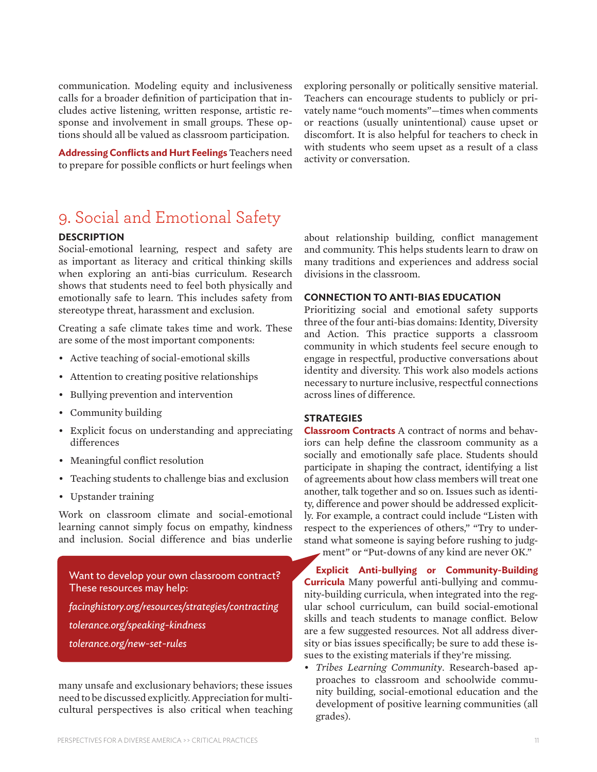communication. Modeling equity and inclusiveness calls for a broader definition of participation that includes active listening, written response, artistic response and involvement in small groups. These options should all be valued as classroom participation.

**Addressing Conflicts and Hurt Feelings** Teachers need to prepare for possible conflicts or hurt feelings when exploring personally or politically sensitive material. Teachers can encourage students to publicly or privately name "ouch moments"—times when comments or reactions (usually unintentional) cause upset or discomfort. It is also helpful for teachers to check in with students who seem upset as a result of a class activity or conversation.

### 9. Social and Emotional Safety

#### **DESCRIPTION**

Social-emotional learning, respect and safety are as important as literacy and critical thinking skills when exploring an anti-bias curriculum. Research shows that students need to feel both physically and emotionally safe to learn. This includes safety from stereotype threat, harassment and exclusion.

Creating a safe climate takes time and work. These are some of the most important components:

- • Active teaching of social-emotional skills
- Attention to creating positive relationships
- • Bullying prevention and intervention
- • Community building
- Explicit focus on understanding and appreciating differences
- Meaningful conflict resolution
- Teaching students to challenge bias and exclusion
- • Upstander training

Work on classroom climate and social-emotional learning cannot simply focus on empathy, kindness and inclusion. Social difference and bias underlie

Want to develop your own classroom contract? These resources may help:

*facinghistory.org/resources/strategies/contracting tolerance.org/speaking-kindness tolerance.org/new-set-rules*

many unsafe and exclusionary behaviors; these issues need to be discussed explicitly.Appreciation for multicultural perspectives is also critical when teaching about relationship building, conflict management and community. This helps students learn to draw on many traditions and experiences and address social divisions in the classroom.

#### **CONNECTION TO ANTI-BIAS EDUCATION**

Prioritizing social and emotional safety supports three of the four anti-bias domains: Identity, Diversity and Action. This practice supports a classroom community in which students feel secure enough to engage in respectful, productive conversations about identity and diversity. This work also models actions necessary to nurture inclusive, respectful connections across lines of difference.

#### **STRATEGIES**

**Classroom Contracts** A contract of norms and behaviors can help define the classroom community as a socially and emotionally safe place. Students should participate in shaping the contract, identifying a list of agreements about how class members will treat one another, talk together and so on. Issues such as identity, difference and power should be addressed explicitly. For example, a contract could include "Listen with respect to the experiences of others," "Try to understand what someone is saying before rushing to judgment" or "Put-downs of any kind are never OK."

**Explicit Anti-bullying or Community-Building Curricula** Many powerful anti-bullying and community-building curricula, when integrated into the regular school curriculum, can build social-emotional skills and teach students to manage conflict. Below are a few suggested resources. Not all address diversity or bias issues specifically; be sure to add these issues to the existing materials if they're missing.

*• Tribes Learning Community*. Research-based approaches to classroom and schoolwide community building, social-emotional education and the development of positive learning communities (all grades).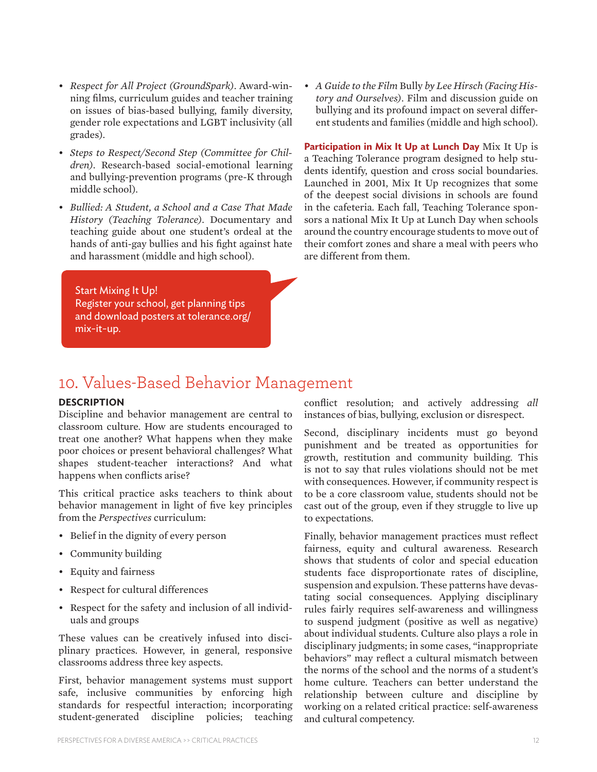- *• Respect for All Project (GroundSpark)*. Award-winning films, curriculum guides and teacher training on issues of bias-based bullying, family diversity, gender role expectations and LGBT inclusivity (all grades).
- *• Steps to Respect/Second Step (Committee for Children)*. Research-based social-emotional learning and bullying-prevention programs (pre-K through middle school).
- *• Bullied: A Student, a School and a Case That Made History (Teaching Tolerance)*. Documentary and teaching guide about one student's ordeal at the hands of anti-gay bullies and his fight against hate and harassment (middle and high school).
- *• A Guide to the Film* Bully *by Lee Hirsch (Facing History and Ourselves)*. Film and discussion guide on bullying and its profound impact on several different students and families (middle and high school).

**Participation in Mix It Up at Lunch Day** Mix It Up is a Teaching Tolerance program designed to help students identify, question and cross social boundaries. Launched in 2001, Mix It Up recognizes that some of the deepest social divisions in schools are found in the cafeteria. Each fall, Teaching Tolerance sponsors a national Mix It Up at Lunch Day when schools around the country encourage students to move out of their comfort zones and share a meal with peers who are different from them.

Start Mixing It Up! Register your school, get planning tips and download posters at tolerance.org/ mix-it-up.

### 10. Values-Based Behavior Management

#### **DESCRIPTION**

Discipline and behavior management are central to classroom culture. How are students encouraged to treat one another? What happens when they make poor choices or present behavioral challenges? What shapes student-teacher interactions? And what happens when conflicts arise?

This critical practice asks teachers to think about behavior management in light of five key principles from the *Perspectives* curriculum:

- • Belief in the dignity of every person
- • Community building
- • Equity and fairness
- • Respect for cultural differences
- Respect for the safety and inclusion of all individuals and groups

These values can be creatively infused into disciplinary practices. However, in general, responsive classrooms address three key aspects.

First, behavior management systems must support safe, inclusive communities by enforcing high standards for respectful interaction; incorporating student-generated discipline policies; teaching

conflict resolution; and actively addressing *all* instances of bias, bullying, exclusion or disrespect.

Second, disciplinary incidents must go beyond punishment and be treated as opportunities for growth, restitution and community building. This is not to say that rules violations should not be met with consequences. However, if community respect is to be a core classroom value, students should not be cast out of the group, even if they struggle to live up to expectations.

Finally, behavior management practices must reflect fairness, equity and cultural awareness. Research shows that students of color and special education students face disproportionate rates of discipline, suspension and expulsion. These patterns have devastating social consequences. Applying disciplinary rules fairly requires self-awareness and willingness to suspend judgment (positive as well as negative) about individual students. Culture also plays a role in disciplinary judgments; in some cases, "inappropriate behaviors" may reflect a cultural mismatch between the norms of the school and the norms of a student's home culture. Teachers can better understand the relationship between culture and discipline by working on a related critical practice: self-awareness and cultural competency.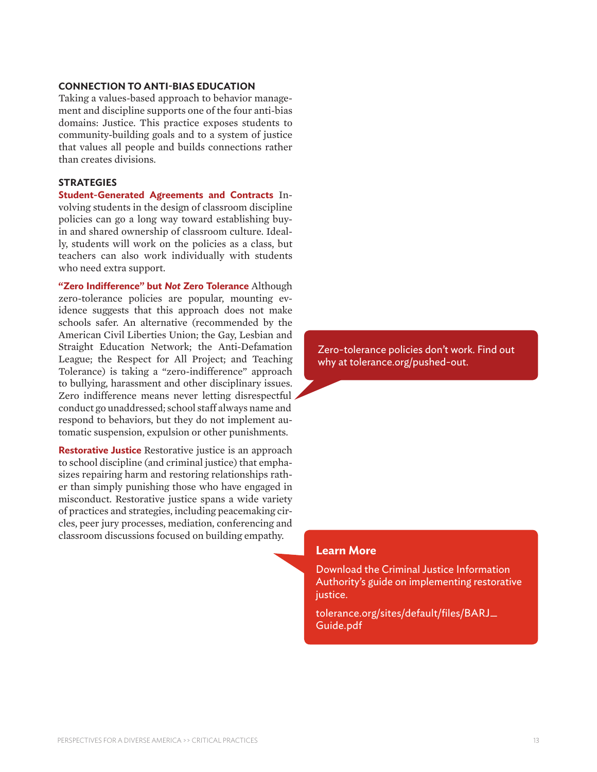#### **CONNECTION TO ANTI-BIAS EDUCATION**

Taking a values-based approach to behavior management and discipline supports one of the four anti-bias domains: Justice. This practice exposes students to community-building goals and to a system of justice that values all people and builds connections rather than creates divisions.

#### **STRATEGIES**

**Student-Generated Agreements and Contracts** Involving students in the design of classroom discipline policies can go a long way toward establishing buyin and shared ownership of classroom culture. Ideally, students will work on the policies as a class, but teachers can also work individually with students who need extra support.

**"Zero Indifference" but** *Not* **Zero Tolerance** Although zero-tolerance policies are popular, mounting evidence suggests that this approach does not make schools safer. An alternative (recommended by the American Civil Liberties Union; the Gay, Lesbian and Straight Education Network; the Anti-Defamation League; the Respect for All Project; and Teaching Tolerance) is taking a "zero-indifference" approach to bullying, harassment and other disciplinary issues. Zero indifference means never letting disrespectful conduct go unaddressed; school staff always name and respond to behaviors, but they do not implement automatic suspension, expulsion or other punishments.

**Restorative Justice** Restorative justice is an approach to school discipline (and criminal justice) that emphasizes repairing harm and restoring relationships rather than simply punishing those who have engaged in misconduct. Restorative justice spans a wide variety of practices and strategies, including peacemaking circles, peer jury processes, mediation, conferencing and classroom discussions focused on building empathy.

Zero-tolerance policies don't work. Find out why at tolerance.org/pushed-out.

#### **Learn More**

Download the Criminal Justice Information Authority's guide on implementing restorative justice.

tolerance.org/sites/default/files/BARJ\_ Guide.pdf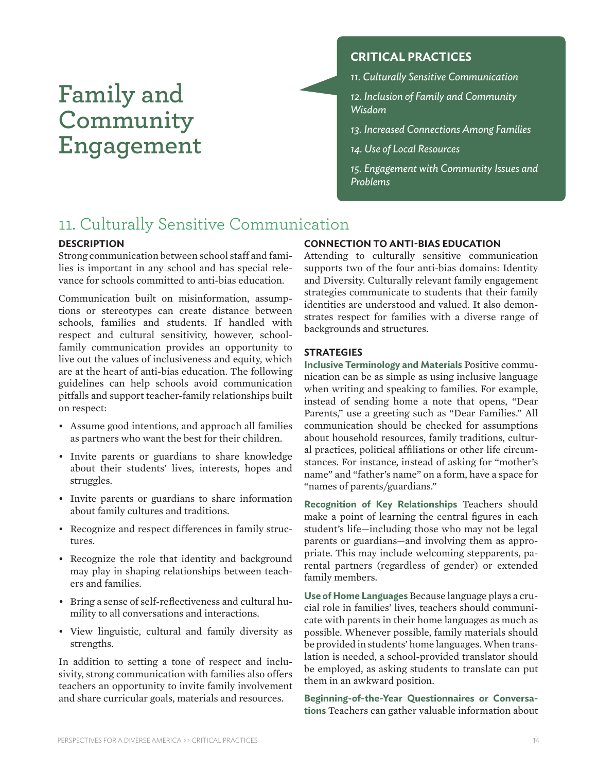## **Family and Community Engagement**

#### **CRITICAL PRACTICES**

*11. Culturally Sensitive Communication*

*12. Inclusion of Family and Community Wisdom*

*13. Increased Connections Among Families*

*14. Use of Local Resources*

*15. Engagement with Community Issues and Problems*

### 11. Culturally Sensitive Communication

#### **DESCRIPTION**

Strong communication between school staff and families is important in any school and has special relevance for schools committed to anti-bias education*.*

Communication built on misinformation, assumptions or stereotypes can create distance between schools, families and students. If handled with respect and cultural sensitivity, however, schoolfamily communication provides an opportunity to live out the values of inclusiveness and equity, which are at the heart of anti-bias education. The following guidelines can help schools avoid communication pitfalls and support teacher-family relationships built on respect:

- Assume good intentions, and approach all families as partners who want the best for their children.
- Invite parents or guardians to share knowledge about their students' lives, interests, hopes and struggles.
- • Invite parents or guardians to share information about family cultures and traditions.
- • Recognize and respect differences in family structures.
- Recognize the role that identity and background may play in shaping relationships between teachers and families.
- • Bring a sense of self-reflectiveness and cultural humility to all conversations and interactions.
- • View linguistic, cultural and family diversity as strengths.

In addition to setting a tone of respect and inclusivity, strong communication with families also offers teachers an opportunity to invite family involvement and share curricular goals, materials and resources.

#### **CONNECTION TO ANTI-BIAS EDUCATION**

Attending to culturally sensitive communication supports two of the four anti-bias domains: Identity and Diversity. Culturally relevant family engagement strategies communicate to students that their family identities are understood and valued. It also demonstrates respect for families with a diverse range of backgrounds and structures.

#### **STRATEGIES**

**Inclusive Terminology and Materials** Positive communication can be as simple as using inclusive language when writing and speaking to families. For example, instead of sending home a note that opens, "Dear Parents," use a greeting such as "Dear Families." All communication should be checked for assumptions about household resources, family traditions, cultural practices, political affiliations or other life circumstances. For instance, instead of asking for "mother's name" and "father's name" on a form, have a space for "names of parents/guardians."

**Recognition of Key Relationships** Teachers should make a point of learning the central figures in each student's life—including those who may not be legal parents or guardians—and involving them as appropriate. This may include welcoming stepparents, parental partners (regardless of gender) or extended family members.

**Use of Home Languages** Because language plays a crucial role in families' lives, teachers should communicate with parents in their home languages as much as possible. Whenever possible, family materials should be provided in students' home languages.When translation is needed, a school-provided translator should be employed, as asking students to translate can put them in an awkward position.

**Beginning-of-the-Year Questionnaires or Conversations** Teachers can gather valuable information about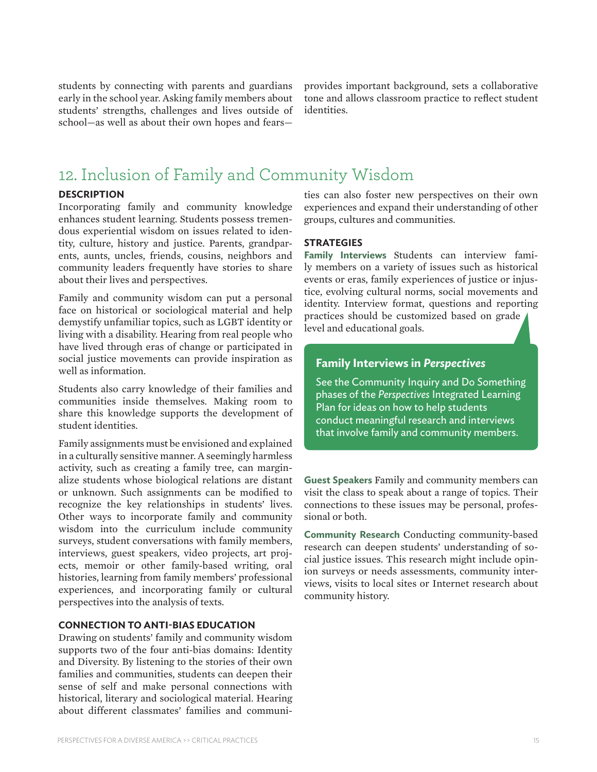students by connecting with parents and guardians early in the school year. Asking family members about students' strengths, challenges and lives outside of school—as well as about their own hopes and fearsprovides important background, sets a collaborative tone and allows classroom practice to reflect student identities.

### 12. Inclusion of Family and Community Wisdom

#### **DESCRIPTION**

Incorporating family and community knowledge enhances student learning. Students possess tremendous experiential wisdom on issues related to identity, culture, history and justice. Parents, grandparents, aunts, uncles, friends, cousins, neighbors and community leaders frequently have stories to share about their lives and perspectives.

Family and community wisdom can put a personal face on historical or sociological material and help demystify unfamiliar topics, such as LGBT identity or living with a disability. Hearing from real people who have lived through eras of change or participated in social justice movements can provide inspiration as well as information.

Students also carry knowledge of their families and communities inside themselves. Making room to share this knowledge supports the development of student identities.

Family assignments must be envisioned and explained in a culturally sensitive manner. A seemingly harmless activity, such as creating a family tree, can marginalize students whose biological relations are distant or unknown. Such assignments can be modified to recognize the key relationships in students' lives. Other ways to incorporate family and community wisdom into the curriculum include community surveys, student conversations with family members, interviews, guest speakers, video projects, art projects, memoir or other family-based writing, oral histories, learning from family members' professional experiences, and incorporating family or cultural perspectives into the analysis of texts.

#### **CONNECTION TO ANTI-BIAS EDUCATION**

Drawing on students' family and community wisdom supports two of the four anti-bias domains: Identity and Diversity. By listening to the stories of their own families and communities, students can deepen their sense of self and make personal connections with historical, literary and sociological material. Hearing about different classmates' families and communi-

ties can also foster new perspectives on their own experiences and expand their understanding of other groups, cultures and communities.

#### **STRATEGIES**

**Family Interviews** Students can interview family members on a variety of issues such as historical events or eras, family experiences of justice or injustice, evolving cultural norms, social movements and identity. Interview format, questions and reporting practices should be customized based on grade level and educational goals.

#### **Family Interviews in** *Perspectives*

See the Community Inquiry and Do Something phases of the *Perspectives* Integrated Learning Plan for ideas on how to help students conduct meaningful research and interviews that involve family and community members.

**Guest Speakers** Family and community members can visit the class to speak about a range of topics. Their connections to these issues may be personal, professional or both.

**Community Research** Conducting community-based research can deepen students' understanding of social justice issues. This research might include opinion surveys or needs assessments, community interviews, visits to local sites or Internet research about community history.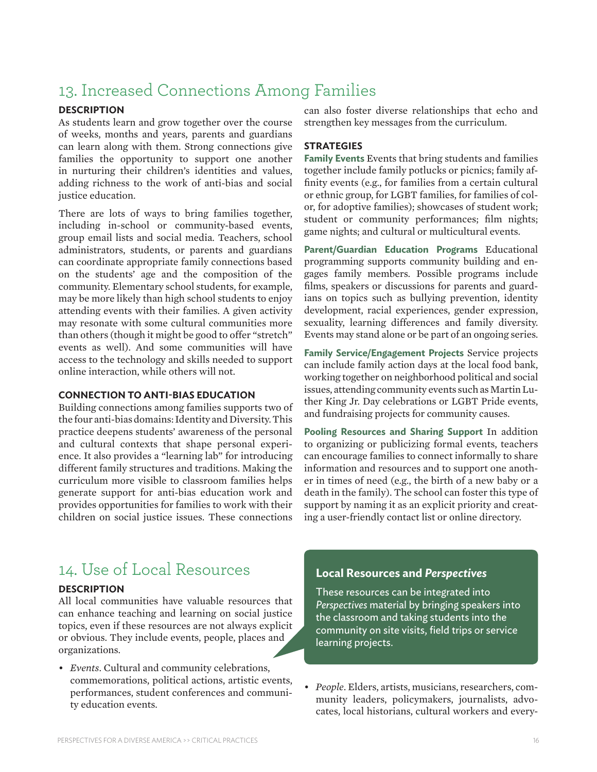### 13. Increased Connections Among Families

#### **DESCRIPTION**

As students learn and grow together over the course of weeks, months and years, parents and guardians can learn along with them. Strong connections give families the opportunity to support one another in nurturing their children's identities and values, adding richness to the work of anti-bias and social justice education.

There are lots of ways to bring families together, including in-school or community-based events, group email lists and social media. Teachers, school administrators, students, or parents and guardians can coordinate appropriate family connections based on the students' age and the composition of the community. Elementary school students, for example, may be more likely than high school students to enjoy attending events with their families. A given activity may resonate with some cultural communities more than others (though it might be good to offer "stretch" events as well). And some communities will have access to the technology and skills needed to support online interaction, while others will not.

#### **CONNECTION TO ANTI-BIAS EDUCATION**

Building connections among families supports two of the four anti-bias domains: Identity and Diversity. This practice deepens students' awareness of the personal and cultural contexts that shape personal experience. It also provides a "learning lab" for introducing different family structures and traditions. Making the curriculum more visible to classroom families helps generate support for anti-bias education work and provides opportunities for families to work with their children on social justice issues. These connections

can also foster diverse relationships that echo and strengthen key messages from the curriculum.

#### **STRATEGIES**

**Family Events** Events that bring students and families together include family potlucks or picnics; family affinity events (e.g., for families from a certain cultural or ethnic group, for LGBT families, for families of color, for adoptive families); showcases of student work; student or community performances; film nights; game nights; and cultural or multicultural events.

**Parent/Guardian Education Programs** Educational programming supports community building and engages family members*.* Possible programs include films, speakers or discussions for parents and guardians on topics such as bullying prevention, identity development, racial experiences, gender expression, sexuality, learning differences and family diversity. Events may stand alone or be part of an ongoing series.

**Family Service/Engagement Projects** Service projects can include family action days at the local food bank, working together on neighborhood political and social issues, attending community events such as Martin Luther King Jr. Day celebrations or LGBT Pride events, and fundraising projects for community causes.

**Pooling Resources and Sharing Support** In addition to organizing or publicizing formal events, teachers can encourage families to connect informally to share information and resources and to support one another in times of need (e.g., the birth of a new baby or a death in the family). The school can foster this type of support by naming it as an explicit priority and creating a user-friendly contact list or online directory.

### 14. Use of Local Resources

#### **DESCRIPTION**

All local communities have valuable resources that can enhance teaching and learning on social justice topics, even if these resources are not always explicit or obvious. They include events, people, places and organizations.

*• Events*. Cultural and community celebrations, commemorations, political actions, artistic events, performances, student conferences and community education events.

#### **Local Resources and** *Perspectives*

These resources can be integrated into *Perspectives* material by bringing speakers into the classroom and taking students into the community on site visits, field trips or service learning projects.

*• People*. Elders, artists, musicians, researchers, community leaders, policymakers, journalists, advocates, local historians, cultural workers and every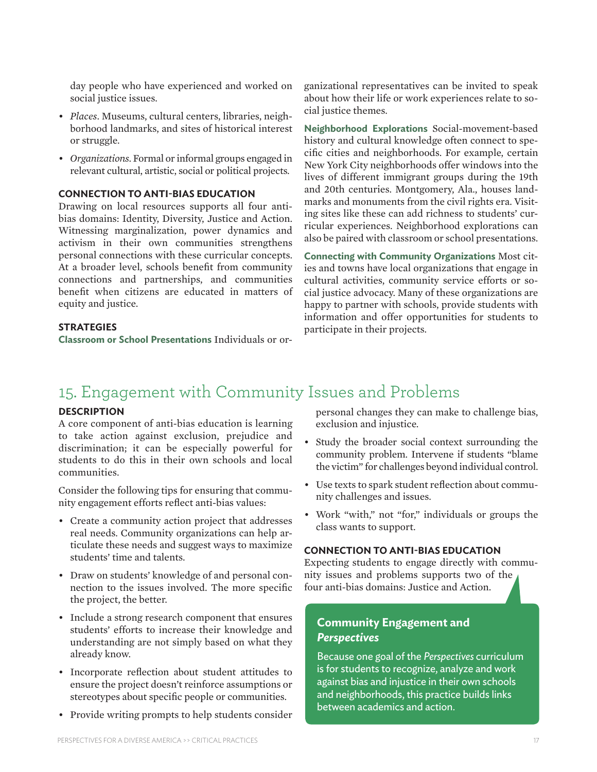day people who have experienced and worked on social justice issues.

- *• Places*. Museums, cultural centers, libraries, neighborhood landmarks, and sites of historical interest or struggle.
- *• Organizations*. Formal or informal groups engaged in relevant cultural, artistic, social or political projects.

#### **CONNECTION TO ANTI-BIAS EDUCATION**

Drawing on local resources supports all four antibias domains: Identity, Diversity, Justice and Action. Witnessing marginalization, power dynamics and activism in their own communities strengthens personal connections with these curricular concepts. At a broader level, schools benefit from community connections and partnerships, and communities benefit when citizens are educated in matters of equity and justice.

#### **STRATEGIES**

**Classroom or School Presentations** Individuals or or-

ganizational representatives can be invited to speak about how their life or work experiences relate to social justice themes.

**Neighborhood Explorations** Social-movement-based history and cultural knowledge often connect to specific cities and neighborhoods. For example, certain New York City neighborhoods offer windows into the lives of different immigrant groups during the 19th and 20th centuries. Montgomery, Ala., houses landmarks and monuments from the civil rights era. Visiting sites like these can add richness to students' curricular experiences. Neighborhood explorations can also be paired with classroom or school presentations.

**Connecting with Community Organizations** Most cities and towns have local organizations that engage in cultural activities, community service efforts or social justice advocacy. Many of these organizations are happy to partner with schools, provide students with information and offer opportunities for students to participate in their projects.

### 15. Engagement with Community Issues and Problems

#### **DESCRIPTION**

A core component of anti-bias education is learning to take action against exclusion, prejudice and discrimination; it can be especially powerful for students to do this in their own schools and local communities.

Consider the following tips for ensuring that community engagement efforts reflect anti-bias values:

- • Create a community action project that addresses real needs. Community organizations can help articulate these needs and suggest ways to maximize students' time and talents.
- Draw on students' knowledge of and personal connection to the issues involved. The more specific the project, the better.
- Include a strong research component that ensures students' efforts to increase their knowledge and understanding are not simply based on what they already know.
- • Incorporate reflection about student attitudes to ensure the project doesn't reinforce assumptions or stereotypes about specific people or communities.
- Provide writing prompts to help students consider

personal changes they can make to challenge bias, exclusion and injustice.

- Study the broader social context surrounding the community problem. Intervene if students "blame the victim" for challenges beyond individual control.
- • Use texts to spark student reflection about community challenges and issues.
- • Work "with," not "for," individuals or groups the class wants to support.

#### **CONNECTION TO ANTI-BIAS EDUCATION**

Expecting students to engage directly with community issues and problems supports two of the four anti-bias domains: Justice and Action.

#### **Community Engagement and**  *Perspectives*

Because one goal of the *Perspectives* curriculum is for students to recognize, analyze and work against bias and injustice in their own schools and neighborhoods, this practice builds links between academics and action.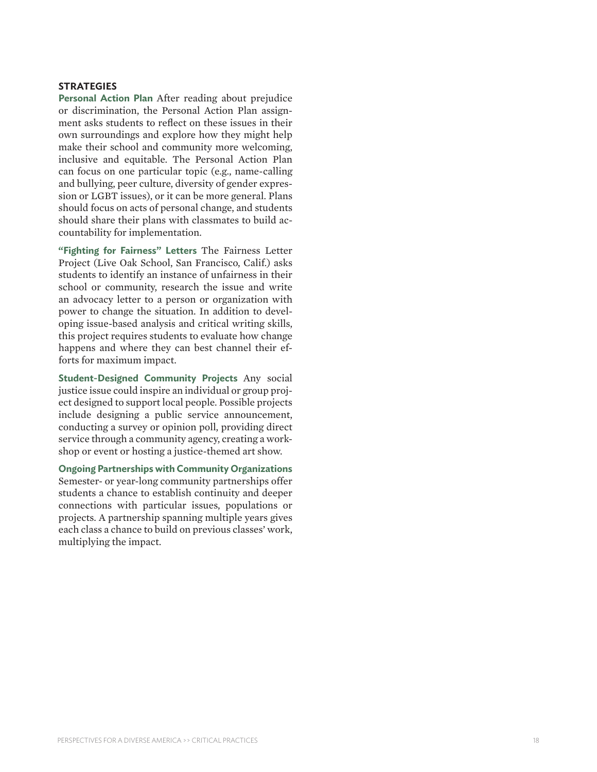#### **STRATEGIES**

**Personal Action Plan** After reading about prejudice or discrimination, the Personal Action Plan assign ment asks students to reflect on these issues in their own surroundings and explore how they might help make their school and community more welcoming, inclusive and equitable. The Personal Action Plan can focus on one particular topic (e.g., name-calling and bullying, peer culture, diversity of gender expres sion or LGBT issues), or it can be more general. Plans should focus on acts of personal change, and students should share their plans with classmates to build ac countability for implementation.

**"Fighting for Fairness" Letters** The Fairness Letter Project (Live Oak School, San Francisco, Calif.) asks students to identify an instance of unfairness in their school or community, research the issue and write an advocacy letter to a person or organization with power to change the situation. In addition to devel oping issue-based analysis and critical writing skills, this project requires students to evaluate how change happens and where they can best channel their efforts for maximum impact.

**Student-Designed Community Projects** Any social justice issue could inspire an individual or group proj ect designed to support local people. Possible projects include designing a public service announcement, conducting a survey or opinion poll, providing direct service through a community agency, creating a work shop or event or hosting a justice-themed art show.

**Ongoing Partnerships with Community Organizations** Semester- or year-long community partnerships offer students a chance to establish continuity and deeper connections with particular issues, populations or projects. A partnership spanning multiple years gives each class a chance to build on previous classes' work, multiplying the impact.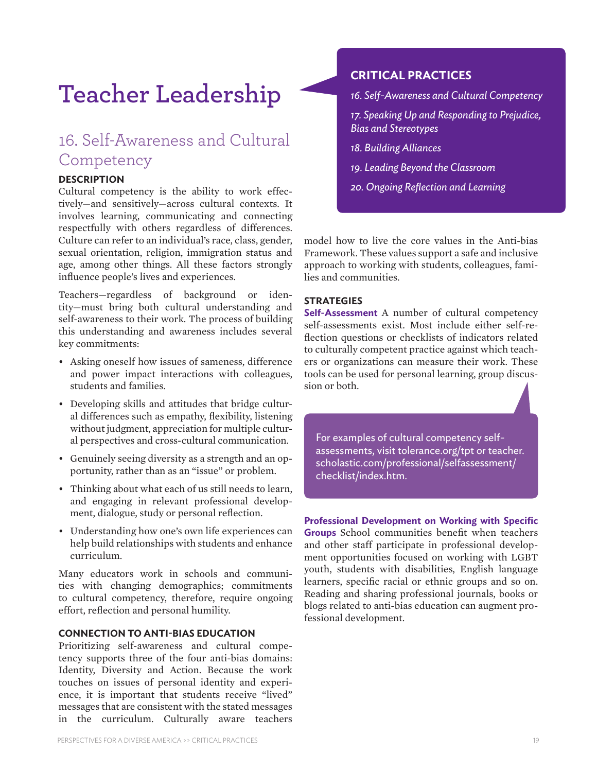## **Teacher Leadership**

### 16. Self-Awareness and Cultural **Competency**

#### **DESCRIPTION**

Cultural competency is the ability to work effectively—and sensitively—across cultural contexts. It involves learning, communicating and connecting respectfully with others regardless of differences. Culture can refer to an individual's race, class, gender, sexual orientation, religion, immigration status and age, among other things. All these factors strongly influence people's lives and experiences.

Teachers—regardless of background or identity—must bring both cultural understanding and self-awareness to their work. The process of building this understanding and awareness includes several key commitments:

- Asking oneself how issues of sameness, difference and power impact interactions with colleagues, students and families.
- Developing skills and attitudes that bridge cultural differences such as empathy, flexibility, listening without judgment, appreciation for multiple cultural perspectives and cross-cultural communication.
- • Genuinely seeing diversity as a strength and an opportunity, rather than as an "issue" or problem.
- Thinking about what each of us still needs to learn, and engaging in relevant professional development, dialogue, study or personal reflection.
- • Understanding how one's own life experiences can help build relationships with students and enhance curriculum.

Many educators work in schools and communities with changing demographics; commitments to cultural competency, therefore, require ongoing effort, reflection and personal humility.

#### **CONNECTION TO ANTI-BIAS EDUCATION**

Prioritizing self-awareness and cultural competency supports three of the four anti-bias domains: Identity, Diversity and Action. Because the work touches on issues of personal identity and experience, it is important that students receive "lived" messages that are consistent with the stated messages in the curriculum. Culturally aware teachers

#### **CRITICAL PRACTICES**

*16. Self-Awareness and Cultural Competency*

*17. Speaking Up and Responding to Prejudice, Bias and Stereotypes*

*18. Building Alliances*

- *19. Leading Beyond the Classroom*
- *20. Ongoing Reflection and Learning*

model how to live the core values in the Anti-bias Framework. These values support a safe and inclusive approach to working with students, colleagues, families and communities.

#### **STRATEGIES**

**Self-Assessment** A number of cultural competency self-assessments exist. Most include either self-reflection questions or checklists of indicators related to culturally competent practice against which teachers or organizations can measure their work. These tools can be used for personal learning, group discussion or both.

For examples of cultural competency selfassessments, visit tolerance.org/tpt or teacher. scholastic.com/professional/selfassessment/ checklist/index.htm.

**Professional Development on Working with Specific Groups** School communities benefit when teachers and other staff participate in professional development opportunities focused on working with LGBT youth, students with disabilities, English language learners, specific racial or ethnic groups and so on. Reading and sharing professional journals, books or blogs related to anti-bias education can augment professional development.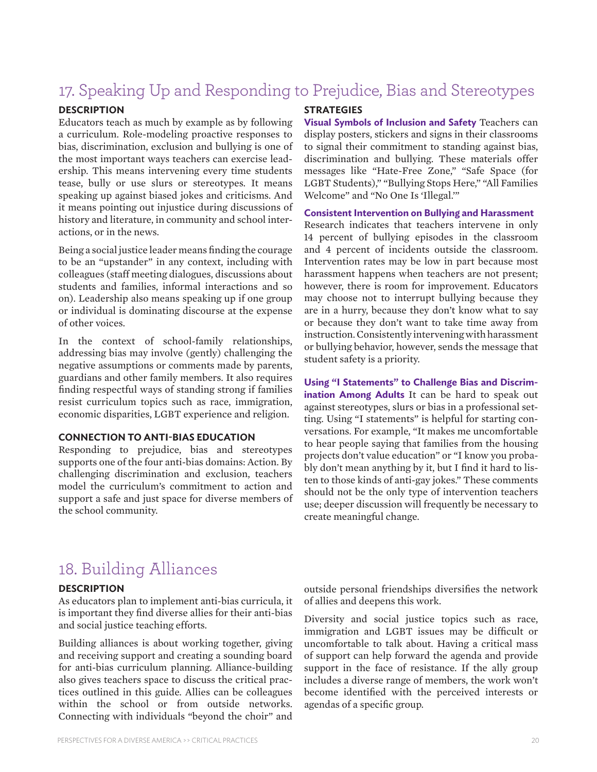### 17. Speaking Up and Responding to Prejudice, Bias and Stereotypes

#### **DESCRIPTION**

Educators teach as much by example as by following a curriculum. Role-modeling proactive responses to bias, discrimination, exclusion and bullying is one of the most important ways teachers can exercise leadership. This means intervening every time students tease, bully or use slurs or stereotypes. It means speaking up against biased jokes and criticisms. And it means pointing out injustice during discussions of history and literature, in community and school interactions, or in the news.

Being a social justice leader means finding the courage to be an "upstander" in any context, including with colleagues (staff meeting dialogues, discussions about students and families, informal interactions and so on). Leadership also means speaking up if one group or individual is dominating discourse at the expense of other voices.

In the context of school-family relationships, addressing bias may involve (gently) challenging the negative assumptions or comments made by parents, guardians and other family members. It also requires finding respectful ways of standing strong if families resist curriculum topics such as race, immigration, economic disparities, LGBT experience and religion.

#### **CONNECTION TO ANTI-BIAS EDUCATION**

Responding to prejudice, bias and stereotypes supports one of the four anti-bias domains: Action. By challenging discrimination and exclusion, teachers model the curriculum's commitment to action and support a safe and just space for diverse members of the school community.

#### **STRATEGIES**

**Visual Symbols of Inclusion and Safety** Teachers can display posters, stickers and signs in their classrooms to signal their commitment to standing against bias, discrimination and bullying. These materials offer messages like "Hate-Free Zone," "Safe Space (for LGBT Students)," "Bullying Stops Here," "All Families Welcome" and "No One Is 'Illegal.'"

#### **Consistent Intervention on Bullying and Harassment**

Research indicates that teachers intervene in only 14 percent of bullying episodes in the classroom and 4 percent of incidents outside the classroom. Intervention rates may be low in part because most harassment happens when teachers are not present; however, there is room for improvement. Educators may choose not to interrupt bullying because they are in a hurry, because they don't know what to say or because they don't want to take time away from instruction.Consistently interveningwithharassment or bullying behavior, however, sends the message that student safety is a priority.

**Using "I Statements" to Challenge Bias and Discrimination Among Adults** It can be hard to speak out against stereotypes, slurs or bias in a professional setting. Using "I statements" is helpful for starting conversations. For example, "It makes me uncomfortable to hear people saying that families from the housing projects don't value education" or "I know you probably don't mean anything by it, but I find it hard to listen to those kinds of anti-gay jokes." These comments should not be the only type of intervention teachers use; deeper discussion will frequently be necessary to create meaningful change.

### 18. Building Alliances

#### **DESCRIPTION**

As educators plan to implement anti-bias curricula, it is important they find diverse allies for their anti-bias and social justice teaching efforts.

Building alliances is about working together, giving and receiving support and creating a sounding board for anti-bias curriculum planning. Alliance-building also gives teachers space to discuss the critical practices outlined in this guide. Allies can be colleagues within the school or from outside networks. Connecting with individuals "beyond the choir" and

outside personal friendships diversifies the network of allies and deepens this work.

Diversity and social justice topics such as race, immigration and LGBT issues may be difficult or uncomfortable to talk about. Having a critical mass of support can help forward the agenda and provide support in the face of resistance. If the ally group includes a diverse range of members, the work won't become identified with the perceived interests or agendas of a specific group.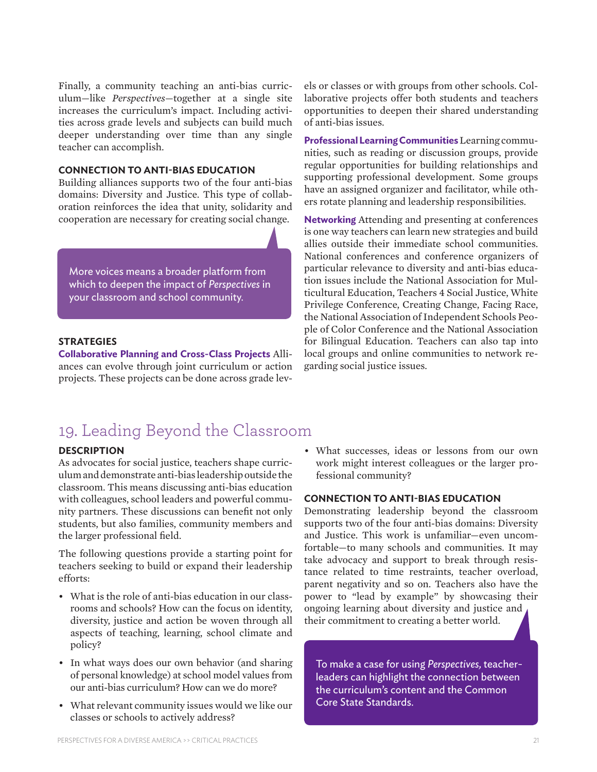Finally, a community teaching an anti-bias curriculum—like *Perspectives*—together at a single site increases the curriculum's impact. Including activities across grade levels and subjects can build much deeper understanding over time than any single teacher can accomplish.

#### **CONNECTION TO ANTI-BIAS EDUCATION**

Building alliances supports two of the four anti-bias domains: Diversity and Justice. This type of collaboration reinforces the idea that unity, solidarity and cooperation are necessary for creating social change.

More voices means a broader platform from which to deepen the impact of *Perspectives* in your classroom and school community.

#### **STRATEGIES**

**Collaborative Planning and Cross-Class Projects** Alliances can evolve through joint curriculum or action projects. These projects can be done across grade levels or classes or with groups from other schools. Collaborative projects offer both students and teachers opportunities to deepen their shared understanding of anti-bias issues.

**Professional Learning Communities** Learning communities, such as reading or discussion groups, provide regular opportunities for building relationships and supporting professional development. Some groups have an assigned organizer and facilitator, while others rotate planning and leadership responsibilities.

**Networking** Attending and presenting at conferences is one way teachers can learn new strategies and build allies outside their immediate school communities. National conferences and conference organizers of particular relevance to diversity and anti-bias education issues include the National Association for Multicultural Education, Teachers 4 Social Justice, White Privilege Conference, Creating Change, Facing Race, the National Association of Independent Schools People of Color Conference and the National Association for Bilingual Education. Teachers can also tap into local groups and online communities to network regarding social justice issues.

### 19. Leading Beyond the Classroom

#### **DESCRIPTION**

As advocates for social justice, teachers shape curriculumanddemonstrate anti-bias leadershipoutside the classroom. This means discussing anti-bias education with colleagues, school leaders and powerful community partners. These discussions can benefit not only students, but also families, community members and the larger professional field.

The following questions provide a starting point for teachers seeking to build or expand their leadership efforts:

- What is the role of anti-bias education in our classrooms and schools? How can the focus on identity, diversity, justice and action be woven through all aspects of teaching, learning, school climate and policy?
- In what ways does our own behavior (and sharing of personal knowledge) at school model values from our anti-bias curriculum? How can we do more?
- What relevant community issues would we like our classes or schools to actively address?

• What successes, ideas or lessons from our own work might interest colleagues or the larger professional community?

#### **CONNECTION TO ANTI-BIAS EDUCATION**

Demonstrating leadership beyond the classroom supports two of the four anti-bias domains: Diversity and Justice. This work is unfamiliar—even uncomfortable—to many schools and communities. It may take advocacy and support to break through resistance related to time restraints, teacher overload, parent negativity and so on. Teachers also have the power to "lead by example" by showcasing their ongoing learning about diversity and justice and their commitment to creating a better world.

To make a case for using *Perspectives,* teacherleaders can highlight the connection between the curriculum's content and the Common Core State Standards.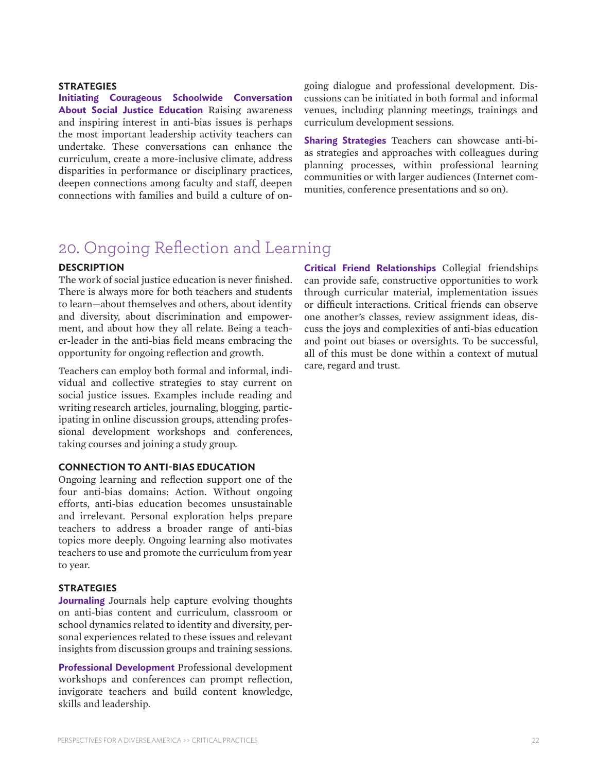#### **STRATEGIES**

**Initiating Courageous Schoolwide Conversation About Social Justice Education** Raising awareness and inspiring interest in anti-bias issues is perhaps the most important leadership activity teachers can undertake. These conversations can enhance the curriculum, create a more-inclusive climate, address disparities in performance or disciplinary practices, deepen connections among faculty and staff, deepen connections with families and build a culture of ongoing dialogue and professional development. Discussions can be initiated in both formal and informal venues, including planning meetings, trainings and curriculum development sessions.

**Sharing Strategies** Teachers can showcase anti-bias strategies and approaches with colleagues during planning processes, within professional learning communities or with larger audiences (Internet communities, conference presentations and so on).

### 20. Ongoing Reflection and Learning

#### **DESCRIPTION**

The work of social justice education is never finished. There is always more for both teachers and students to learn—about themselves and others, about identity and diversity, about discrimination and empowerment, and about how they all relate. Being a teacher-leader in the anti-bias field means embracing the opportunity for ongoing reflection and growth.

Teachers can employ both formal and informal, individual and collective strategies to stay current on social justice issues. Examples include reading and writing research articles, journaling, blogging, participating in online discussion groups, attending professional development workshops and conferences, taking courses and joining a study group.

#### **CONNECTION TO ANTI-BIAS EDUCATION**

Ongoing learning and reflection support one of the four anti-bias domains: Action. Without ongoing efforts, anti-bias education becomes unsustainable and irrelevant. Personal exploration helps prepare teachers to address a broader range of anti-bias topics more deeply. Ongoing learning also motivates teachers to use and promote the curriculum from year to year.

#### **STRATEGIES**

**Journaling** Journals help capture evolving thoughts on anti-bias content and curriculum, classroom or school dynamics related to identity and diversity, personal experiences related to these issues and relevant insights from discussion groups and training sessions.

**Professional Development** Professional development workshops and conferences can prompt reflection, invigorate teachers and build content knowledge, skills and leadership.

**Critical Friend Relationships** Collegial friendships can provide safe, constructive opportunities to work through curricular material, implementation issues or difficult interactions. Critical friends can observe one another's classes, review assignment ideas, discuss the joys and complexities of anti-bias education and point out biases or oversights. To be successful, all of this must be done within a context of mutual care, regard and trust.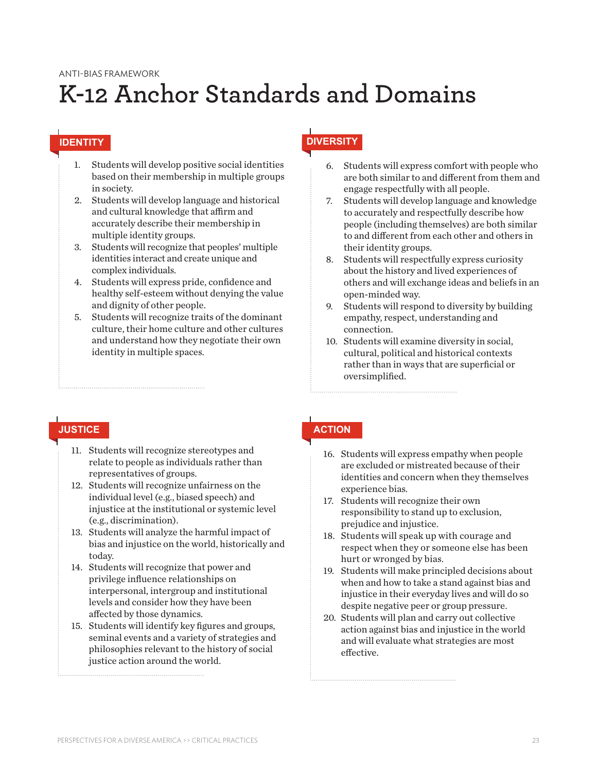#### ANTI-BIAS FRAMEWORK

## **K-12 Anchor Standards and Domains**

- 1. Students will develop positive social identities based on their membership in multiple groups in society.
- 2. Students will develop language and historical and cultural knowledge that affirm and accurately describe their membership in multiple identity groups.
- 3. Students will recognize that peoples' multiple identities interact and create unique and complex individuals.
- 4. Students will express pride, confidence and healthy self-esteem without denying the value and dignity of other people.
- 5. Students will recognize traits of the dominant culture, their home culture and other cultures and understand how they negotiate their own identity in multiple spaces.

### **IDENTITY DIVERSITY**

- 6. Students will express comfort with people who are both similar to and different from them and engage respectfully with all people.
- 7. Students will develop language and knowledge to accurately and respectfully describe how people (including themselves) are both similar to and different from each other and others in their identity groups.
- 8. Students will respectfully express curiosity about the history and lived experiences of others and will exchange ideas and beliefs in an open-minded way.
- 9. Students will respond to diversity by building empathy, respect, understanding and connection.
- 10. Students will examine diversity in social, cultural, political and historical contexts rather than in ways that are superficial or oversimplified.

#### **JUSTICE ACTION**

- 11. Students will recognize stereotypes and relate to people as individuals rather than representatives of groups.
- 12. Students will recognize unfairness on the individual level (e.g., biased speech) and injustice at the institutional or systemic level (e.g., discrimination).
- 13. Students will analyze the harmful impact of bias and injustice on the world, historically and today.
- 14. Students will recognize that power and privilege influence relationships on interpersonal, intergroup and institutional levels and consider how they have been affected by those dynamics.
- 15. Students will identify key figures and groups, seminal events and a variety of strategies and philosophies relevant to the history of social justice action around the world.

- 16. Students will express empathy when people are excluded or mistreated because of their identities and concern when they themselves experience bias.
- 17. Students will recognize their own responsibility to stand up to exclusion, prejudice and injustice.
- 18. Students will speak up with courage and respect when they or someone else has been hurt or wronged by bias.
- 19. Students will make principled decisions about when and how to take a stand against bias and injustice in their everyday lives and will do so despite negative peer or group pressure.
- 20. Students will plan and carry out collective action against bias and injustice in the world and will evaluate what strategies are most effective.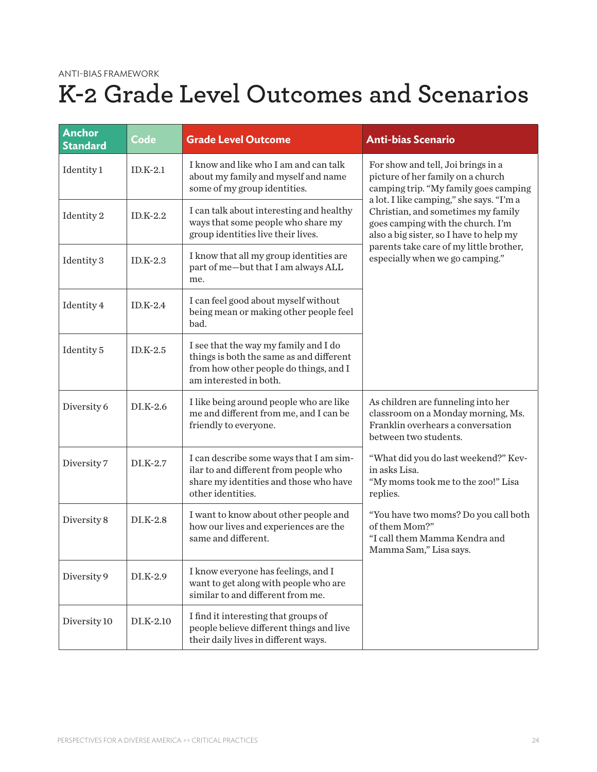#### ANTI-BIAS FRAMEWORK

## **K-2 Grade Level Outcomes and Scenarios**

| <b>Anchor</b><br><b>Standard</b> | Code       | <b>Grade Level Outcome</b>                                                                                                                            | <b>Anti-bias Scenario</b>                                                                                                                                      |
|----------------------------------|------------|-------------------------------------------------------------------------------------------------------------------------------------------------------|----------------------------------------------------------------------------------------------------------------------------------------------------------------|
| Identity 1                       | $ID.K-2.1$ | I know and like who I am and can talk<br>about my family and myself and name<br>some of my group identities.                                          | For show and tell, Joi brings in a<br>picture of her family on a church<br>camping trip. "My family goes camping                                               |
| Identity 2                       | $ID.K-2.2$ | I can talk about interesting and healthy<br>ways that some people who share my<br>group identities live their lives.                                  | a lot. I like camping," she says. "I'm a<br>Christian, and sometimes my family<br>goes camping with the church. I'm<br>also a big sister, so I have to help my |
| Identity 3                       | $ID.K-2.3$ | I know that all my group identities are<br>part of me-but that I am always ALL<br>me.                                                                 | parents take care of my little brother,<br>especially when we go camping."                                                                                     |
| Identity 4                       | $ID.K-2.4$ | I can feel good about myself without<br>being mean or making other people feel<br>bad.                                                                |                                                                                                                                                                |
| Identity 5                       | $ID.K-2.5$ | I see that the way my family and I do<br>things is both the same as and different<br>from how other people do things, and I<br>am interested in both. |                                                                                                                                                                |
| Diversity 6                      | $DI.K-2.6$ | I like being around people who are like<br>me and different from me, and I can be<br>friendly to everyone.                                            | As children are funneling into her<br>classroom on a Monday morning, Ms.<br>Franklin overhears a conversation<br>between two students.                         |
| Diversity 7                      | $DI.K-2.7$ | I can describe some ways that I am sim-<br>ilar to and different from people who<br>share my identities and those who have<br>other identities.       | "What did you do last weekend?" Kev-<br>in asks Lisa.<br>"My moms took me to the zoo!" Lisa<br>replies.                                                        |
| Diversity 8                      | $DI.K-2.8$ | I want to know about other people and<br>how our lives and experiences are the<br>same and different.                                                 | "You have two moms? Do you call both<br>of them Mom?"<br>"I call them Mamma Kendra and<br>Mamma Sam," Lisa says.                                               |
| Diversity 9                      | $DI.K-2.9$ | I know everyone has feelings, and I<br>want to get along with people who are<br>similar to and different from me.                                     |                                                                                                                                                                |
| Diversity 10                     | DI.K-2.10  | I find it interesting that groups of<br>people believe different things and live<br>their daily lives in different ways.                              |                                                                                                                                                                |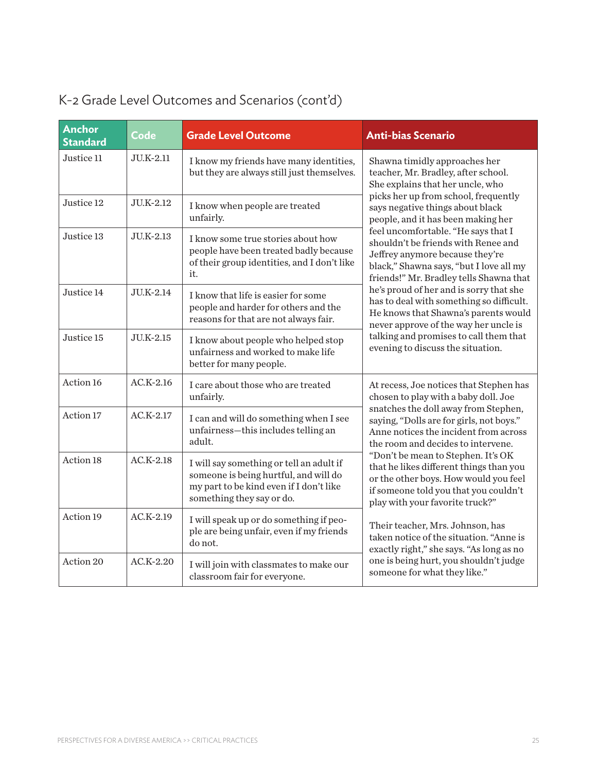| <b>Anchor</b><br><b>Standard</b> | Code        | <b>Grade Level Outcome</b>                                                                                                                                | <b>Anti-bias Scenario</b>                                                                                                                                                                                                                                                                                                                                                                                                                                                                                                                                                                                                                                     |
|----------------------------------|-------------|-----------------------------------------------------------------------------------------------------------------------------------------------------------|---------------------------------------------------------------------------------------------------------------------------------------------------------------------------------------------------------------------------------------------------------------------------------------------------------------------------------------------------------------------------------------------------------------------------------------------------------------------------------------------------------------------------------------------------------------------------------------------------------------------------------------------------------------|
| Justice 11                       | JU.K-2.11   | I know my friends have many identities,<br>but they are always still just themselves.                                                                     | Shawna timidly approaches her<br>teacher, Mr. Bradley, after school.<br>She explains that her uncle, who                                                                                                                                                                                                                                                                                                                                                                                                                                                                                                                                                      |
| Justice 12                       | JU.K-2.12   | I know when people are treated<br>unfairly.                                                                                                               | picks her up from school, frequently<br>says negative things about black<br>people, and it has been making her                                                                                                                                                                                                                                                                                                                                                                                                                                                                                                                                                |
| Justice 13                       | JU.K-2.13   | I know some true stories about how<br>people have been treated badly because<br>of their group identities, and I don't like<br>it.                        | feel uncomfortable. "He says that I<br>shouldn't be friends with Renee and<br>Jeffrey anymore because they're<br>black," Shawna says, "but I love all my<br>friends!" Mr. Bradley tells Shawna that<br>he's proud of her and is sorry that she<br>has to deal with something so difficult.<br>He knows that Shawna's parents would<br>never approve of the way her uncle is<br>talking and promises to call them that<br>evening to discuss the situation.                                                                                                                                                                                                    |
| Justice 14                       | JU.K-2.14   | I know that life is easier for some<br>people and harder for others and the<br>reasons for that are not always fair.                                      |                                                                                                                                                                                                                                                                                                                                                                                                                                                                                                                                                                                                                                                               |
| Justice 15                       | JU.K-2.15   | I know about people who helped stop<br>unfairness and worked to make life<br>better for many people.                                                      |                                                                                                                                                                                                                                                                                                                                                                                                                                                                                                                                                                                                                                                               |
| Action 16                        | $AC.K-2.16$ | I care about those who are treated<br>unfairly.                                                                                                           | At recess, Joe notices that Stephen has<br>chosen to play with a baby doll. Joe<br>snatches the doll away from Stephen,<br>saying, "Dolls are for girls, not boys."<br>Anne notices the incident from across<br>the room and decides to intervene.<br>"Don't be mean to Stephen. It's OK<br>that he likes different things than you<br>or the other boys. How would you feel<br>if someone told you that you couldn't<br>play with your favorite truck?"<br>Their teacher, Mrs. Johnson, has<br>taken notice of the situation. "Anne is<br>exactly right," she says. "As long as no<br>one is being hurt, you shouldn't judge<br>someone for what they like." |
| Action 17                        | $AC.K-2.17$ | I can and will do something when I see<br>unfairness-this includes telling an<br>adult.                                                                   |                                                                                                                                                                                                                                                                                                                                                                                                                                                                                                                                                                                                                                                               |
| Action 18                        | $AC.K-2.18$ | I will say something or tell an adult if<br>someone is being hurtful, and will do<br>my part to be kind even if I don't like<br>something they say or do. |                                                                                                                                                                                                                                                                                                                                                                                                                                                                                                                                                                                                                                                               |
| Action 19                        | $AC.K-2.19$ | I will speak up or do something if peo-<br>ple are being unfair, even if my friends<br>do not.                                                            |                                                                                                                                                                                                                                                                                                                                                                                                                                                                                                                                                                                                                                                               |
| Action 20                        | $AC.K-2.20$ | I will join with classmates to make our<br>classroom fair for everyone.                                                                                   |                                                                                                                                                                                                                                                                                                                                                                                                                                                                                                                                                                                                                                                               |

### K-2 Grade Level Outcomes and Scenarios (cont'd)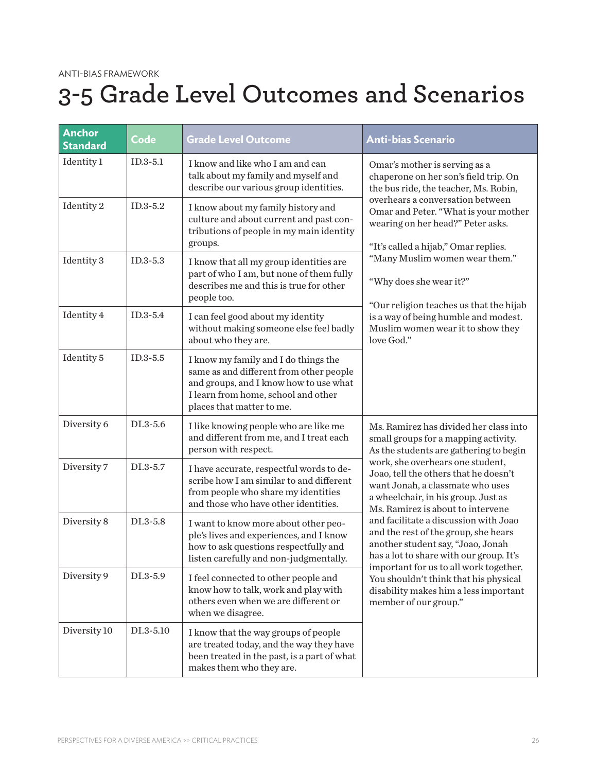# **3-5 Grade Level Outcomes and Scenarios**

| <b>Anchor</b><br><b>Standard</b> | Code       | <b>Grade Level Outcome</b>                                                                                                                                                                    | <b>Anti-bias Scenario</b>                                                                                                                                                                                                                                                                                                                                                                                                                                                                                                                                                                                                                   |
|----------------------------------|------------|-----------------------------------------------------------------------------------------------------------------------------------------------------------------------------------------------|---------------------------------------------------------------------------------------------------------------------------------------------------------------------------------------------------------------------------------------------------------------------------------------------------------------------------------------------------------------------------------------------------------------------------------------------------------------------------------------------------------------------------------------------------------------------------------------------------------------------------------------------|
| Identity 1                       | $ID.3-5.1$ | I know and like who I am and can<br>talk about my family and myself and<br>describe our various group identities.                                                                             | Omar's mother is serving as a<br>chaperone on her son's field trip. On<br>the bus ride, the teacher, Ms. Robin,<br>overhears a conversation between<br>Omar and Peter. "What is your mother<br>wearing on her head?" Peter asks.<br>"It's called a hijab," Omar replies.<br>"Many Muslim women wear them."<br>"Why does she wear it?"<br>"Our religion teaches us that the hijab<br>is a way of being humble and modest.<br>Muslim women wear it to show they<br>love God."                                                                                                                                                                 |
| Identity 2                       | $ID.3-5.2$ | I know about my family history and<br>culture and about current and past con-<br>tributions of people in my main identity<br>groups.                                                          |                                                                                                                                                                                                                                                                                                                                                                                                                                                                                                                                                                                                                                             |
| Identity 3                       | $ID.3-5.3$ | I know that all my group identities are<br>part of who I am, but none of them fully<br>describes me and this is true for other<br>people too.                                                 |                                                                                                                                                                                                                                                                                                                                                                                                                                                                                                                                                                                                                                             |
| Identity 4                       | $ID.3-5.4$ | I can feel good about my identity<br>without making someone else feel badly<br>about who they are.                                                                                            |                                                                                                                                                                                                                                                                                                                                                                                                                                                                                                                                                                                                                                             |
| Identity 5                       | $ID.3-5.5$ | I know my family and I do things the<br>same as and different from other people<br>and groups, and I know how to use what<br>I learn from home, school and other<br>places that matter to me. |                                                                                                                                                                                                                                                                                                                                                                                                                                                                                                                                                                                                                                             |
| Diversity 6                      | DI.3-5.6   | I like knowing people who are like me<br>and different from me, and I treat each<br>person with respect.                                                                                      | Ms. Ramirez has divided her class into<br>small groups for a mapping activity.<br>As the students are gathering to begin<br>work, she overhears one student,<br>Joao, tell the others that he doesn't<br>want Jonah, a classmate who uses<br>a wheelchair, in his group. Just as<br>Ms. Ramirez is about to intervene<br>and facilitate a discussion with Joao<br>and the rest of the group, she hears<br>another student say, "Joao, Jonah<br>has a lot to share with our group. It's<br>important for us to all work together.<br>You shouldn't think that his physical<br>disability makes him a less important<br>member of our group." |
| Diversity 7                      | DI.3-5.7   | I have accurate, respectful words to de-<br>scribe how I am similar to and different<br>from people who share my identities<br>and those who have other identities.                           |                                                                                                                                                                                                                                                                                                                                                                                                                                                                                                                                                                                                                                             |
| Diversity 8                      | DI.3-5.8   | I want to know more about other peo-<br>ple's lives and experiences, and I know<br>how to ask questions respectfully and<br>listen carefully and non-judgmentally.                            |                                                                                                                                                                                                                                                                                                                                                                                                                                                                                                                                                                                                                                             |
| Diversity 9                      | DI.3-5.9   | I feel connected to other people and<br>know how to talk, work and play with<br>others even when we are different or<br>when we disagree.                                                     |                                                                                                                                                                                                                                                                                                                                                                                                                                                                                                                                                                                                                                             |
| Diversity 10                     | DI.3-5.10  | I know that the way groups of people<br>are treated today, and the way they have<br>been treated in the past, is a part of what<br>makes them who they are.                                   |                                                                                                                                                                                                                                                                                                                                                                                                                                                                                                                                                                                                                                             |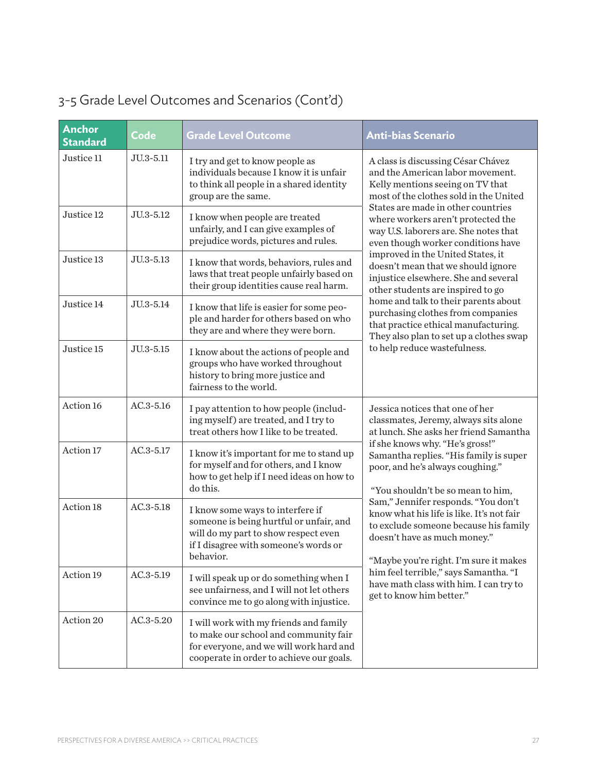| <b>Anchor</b><br><b>Standard</b> | Code          | <b>Grade Level Outcome</b>                                                                                                                                                | <b>Anti-bias Scenario</b>                                                                                                                                                                                                                                                                                                                                                                                                                                                                                                                                                                                                                                               |
|----------------------------------|---------------|---------------------------------------------------------------------------------------------------------------------------------------------------------------------------|-------------------------------------------------------------------------------------------------------------------------------------------------------------------------------------------------------------------------------------------------------------------------------------------------------------------------------------------------------------------------------------------------------------------------------------------------------------------------------------------------------------------------------------------------------------------------------------------------------------------------------------------------------------------------|
| Justice 11                       | JU.3-5.11     | I try and get to know people as<br>individuals because I know it is unfair<br>to think all people in a shared identity<br>group are the same.                             | A class is discussing César Chávez<br>and the American labor movement.<br>Kelly mentions seeing on TV that<br>most of the clothes sold in the United<br>States are made in other countries<br>where workers aren't protected the<br>way U.S. laborers are. She notes that<br>even though worker conditions have<br>improved in the United States, it<br>doesn't mean that we should ignore<br>injustice elsewhere. She and several<br>other students are inspired to go<br>home and talk to their parents about<br>purchasing clothes from companies<br>that practice ethical manufacturing.<br>They also plan to set up a clothes swap<br>to help reduce wastefulness. |
| Justice 12                       | JU.3-5.12     | I know when people are treated<br>unfairly, and I can give examples of<br>prejudice words, pictures and rules.                                                            |                                                                                                                                                                                                                                                                                                                                                                                                                                                                                                                                                                                                                                                                         |
| Justice 13                       | JU.3-5.13     | I know that words, behaviors, rules and<br>laws that treat people unfairly based on<br>their group identities cause real harm.                                            |                                                                                                                                                                                                                                                                                                                                                                                                                                                                                                                                                                                                                                                                         |
| Justice 14                       | JU.3-5.14     | I know that life is easier for some peo-<br>ple and harder for others based on who<br>they are and where they were born.                                                  |                                                                                                                                                                                                                                                                                                                                                                                                                                                                                                                                                                                                                                                                         |
| Justice 15                       | JU.3-5.15     | I know about the actions of people and<br>groups who have worked throughout<br>history to bring more justice and<br>fairness to the world.                                |                                                                                                                                                                                                                                                                                                                                                                                                                                                                                                                                                                                                                                                                         |
| Action 16                        | $AC.3 - 5.16$ | I pay attention to how people (includ-<br>ing myself) are treated, and I try to<br>treat others how I like to be treated.                                                 | Jessica notices that one of her<br>classmates, Jeremy, always sits alone<br>at lunch. She asks her friend Samantha<br>if she knows why. "He's gross!"<br>Samantha replies. "His family is super<br>poor, and he's always coughing."<br>"You shouldn't be so mean to him,<br>Sam," Jennifer responds. "You don't<br>know what his life is like. It's not fair<br>to exclude someone because his family<br>doesn't have as much money."<br>"Maybe you're right. I'm sure it makes<br>him feel terrible," says Samantha. "I<br>have math class with him. I can try to<br>get to know him better."                                                                          |
| Action 17                        | $AC.3 - 5.17$ | I know it's important for me to stand up<br>for myself and for others, and I know<br>how to get help if I need ideas on how to<br>do this.                                |                                                                                                                                                                                                                                                                                                                                                                                                                                                                                                                                                                                                                                                                         |
| Action 18                        | $AC.3 - 5.18$ | I know some ways to interfere if<br>someone is being hurtful or unfair, and<br>will do my part to show respect even<br>if I disagree with someone's words or<br>behavior. |                                                                                                                                                                                                                                                                                                                                                                                                                                                                                                                                                                                                                                                                         |
| Action 19                        | $AC.3 - 5.19$ | I will speak up or do something when I<br>see unfairness, and I will not let others<br>convince me to go along with injustice.                                            |                                                                                                                                                                                                                                                                                                                                                                                                                                                                                                                                                                                                                                                                         |
| Action 20                        | AC.3-5.20     | I will work with my friends and family<br>to make our school and community fair<br>for everyone, and we will work hard and<br>cooperate in order to achieve our goals.    |                                                                                                                                                                                                                                                                                                                                                                                                                                                                                                                                                                                                                                                                         |

### 3-5 Grade Level Outcomes and Scenarios (Cont'd)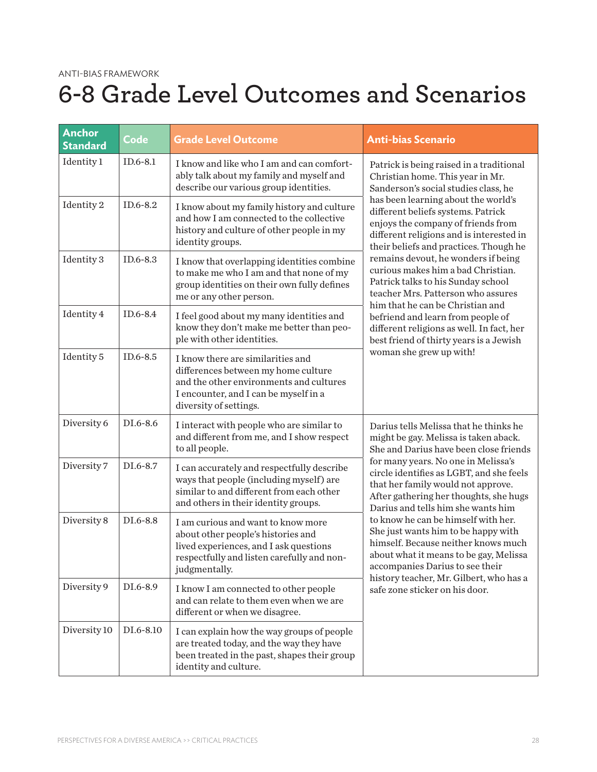# **6-8 Grade Level Outcomes and Scenarios**

| <b>Anchor</b><br><b>Standard</b> | Code       | <b>Grade Level Outcome</b>                                                                                                                                                             | <b>Anti-bias Scenario</b>                                                                                                                                                                                                                                                                                                                                                                                                                                                                                                                                                                                                                                                          |
|----------------------------------|------------|----------------------------------------------------------------------------------------------------------------------------------------------------------------------------------------|------------------------------------------------------------------------------------------------------------------------------------------------------------------------------------------------------------------------------------------------------------------------------------------------------------------------------------------------------------------------------------------------------------------------------------------------------------------------------------------------------------------------------------------------------------------------------------------------------------------------------------------------------------------------------------|
| Identity 1                       | $ID.6-8.1$ | I know and like who I am and can comfort-<br>ably talk about my family and myself and<br>describe our various group identities.                                                        | Patrick is being raised in a traditional<br>Christian home. This year in Mr.<br>Sanderson's social studies class, he<br>has been learning about the world's<br>different beliefs systems. Patrick<br>enjoys the company of friends from<br>different religions and is interested in<br>their beliefs and practices. Though he<br>remains devout, he wonders if being<br>curious makes him a bad Christian.<br>Patrick talks to his Sunday school<br>teacher Mrs. Patterson who assures<br>him that he can be Christian and<br>befriend and learn from people of<br>different religions as well. In fact, her<br>best friend of thirty years is a Jewish<br>woman she grew up with! |
| Identity 2                       | ID.6-8.2   | I know about my family history and culture<br>and how I am connected to the collective<br>history and culture of other people in my<br>identity groups.                                |                                                                                                                                                                                                                                                                                                                                                                                                                                                                                                                                                                                                                                                                                    |
| Identity 3                       | ID.6-8.3   | I know that overlapping identities combine<br>to make me who I am and that none of my<br>group identities on their own fully defines<br>me or any other person.                        |                                                                                                                                                                                                                                                                                                                                                                                                                                                                                                                                                                                                                                                                                    |
| Identity 4                       | ID.6-8.4   | I feel good about my many identities and<br>know they don't make me better than peo-<br>ple with other identities.                                                                     |                                                                                                                                                                                                                                                                                                                                                                                                                                                                                                                                                                                                                                                                                    |
| Identity 5                       | ID.6-8.5   | I know there are similarities and<br>differences between my home culture<br>and the other environments and cultures<br>I encounter, and I can be myself in a<br>diversity of settings. |                                                                                                                                                                                                                                                                                                                                                                                                                                                                                                                                                                                                                                                                                    |
| Diversity 6                      | DI.6-8.6   | I interact with people who are similar to<br>and different from me, and I show respect<br>to all people.                                                                               | Darius tells Melissa that he thinks he<br>might be gay. Melissa is taken aback.<br>She and Darius have been close friends<br>for many years. No one in Melissa's<br>circle identifies as LGBT, and she feels<br>that her family would not approve.<br>After gathering her thoughts, she hugs<br>Darius and tells him she wants him<br>to know he can be himself with her.<br>She just wants him to be happy with<br>himself. Because neither knows much<br>about what it means to be gay, Melissa<br>accompanies Darius to see their<br>history teacher, Mr. Gilbert, who has a<br>safe zone sticker on his door.                                                                  |
| Diversity 7                      | DI.6-8.7   | I can accurately and respectfully describe<br>ways that people (including myself) are<br>similar to and different from each other<br>and others in their identity groups.              |                                                                                                                                                                                                                                                                                                                                                                                                                                                                                                                                                                                                                                                                                    |
| Diversity 8                      | DI.6-8.8   | I am curious and want to know more<br>about other people's histories and<br>lived experiences, and I ask questions<br>respectfully and listen carefully and non-<br>judgmentally.      |                                                                                                                                                                                                                                                                                                                                                                                                                                                                                                                                                                                                                                                                                    |
| Diversity 9                      | DI.6-8.9   | I know I am connected to other people<br>and can relate to them even when we are<br>different or when we disagree.                                                                     |                                                                                                                                                                                                                                                                                                                                                                                                                                                                                                                                                                                                                                                                                    |
| Diversity 10                     | DI.6-8.10  | I can explain how the way groups of people<br>are treated today, and the way they have<br>been treated in the past, shapes their group<br>identity and culture.                        |                                                                                                                                                                                                                                                                                                                                                                                                                                                                                                                                                                                                                                                                                    |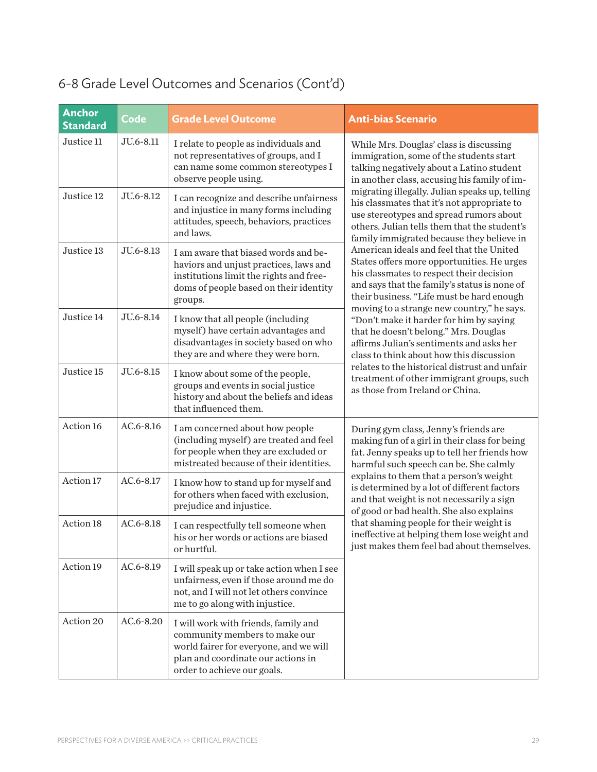| <b>Anchor</b><br><b>Standard</b> | Code          | <b>Grade Level Outcome</b>                                                                                                                                                           | <b>Anti-bias Scenario</b>                                                                                                                                                                                                                                                                                                                                                                                                                                                                                                                                                                  |  |
|----------------------------------|---------------|--------------------------------------------------------------------------------------------------------------------------------------------------------------------------------------|--------------------------------------------------------------------------------------------------------------------------------------------------------------------------------------------------------------------------------------------------------------------------------------------------------------------------------------------------------------------------------------------------------------------------------------------------------------------------------------------------------------------------------------------------------------------------------------------|--|
| Justice 11                       | JU.6-8.11     | I relate to people as individuals and<br>not representatives of groups, and I<br>can name some common stereotypes I<br>observe people using.                                         | While Mrs. Douglas' class is discussing<br>immigration, some of the students start<br>talking negatively about a Latino student<br>in another class, accusing his family of im-                                                                                                                                                                                                                                                                                                                                                                                                            |  |
| Justice 12                       | JU.6-8.12     | I can recognize and describe unfairness<br>and injustice in many forms including<br>attitudes, speech, behaviors, practices<br>and laws.                                             | migrating illegally. Julian speaks up, telling<br>his classmates that it's not appropriate to<br>use stereotypes and spread rumors about<br>others. Julian tells them that the student's<br>family immigrated because they believe in                                                                                                                                                                                                                                                                                                                                                      |  |
| Justice 13                       | JU.6-8.13     | I am aware that biased words and be-<br>haviors and unjust practices, laws and<br>institutions limit the rights and free-<br>doms of people based on their identity<br>groups.       | American ideals and feel that the United<br>States offers more opportunities. He urges<br>his classmates to respect their decision<br>and says that the family's status is none of<br>their business. "Life must be hard enough<br>moving to a strange new country," he says.<br>"Don't make it harder for him by saying<br>that he doesn't belong." Mrs. Douglas<br>affirms Julian's sentiments and asks her<br>class to think about how this discussion<br>relates to the historical distrust and unfair<br>treatment of other immigrant groups, such<br>as those from Ireland or China. |  |
| Justice 14                       | JU.6-8.14     | I know that all people (including<br>myself) have certain advantages and<br>disadvantages in society based on who<br>they are and where they were born.                              |                                                                                                                                                                                                                                                                                                                                                                                                                                                                                                                                                                                            |  |
| Justice 15                       | JU.6-8.15     | I know about some of the people,<br>groups and events in social justice<br>history and about the beliefs and ideas<br>that influenced them.                                          |                                                                                                                                                                                                                                                                                                                                                                                                                                                                                                                                                                                            |  |
| Action 16                        | $AC.6 - 8.16$ | I am concerned about how people<br>(including myself) are treated and feel<br>for people when they are excluded or<br>mistreated because of their identities.                        | During gym class, Jenny's friends are<br>making fun of a girl in their class for being<br>fat. Jenny speaks up to tell her friends how<br>harmful such speech can be. She calmly<br>explains to them that a person's weight<br>is determined by a lot of different factors<br>and that weight is not necessarily a sign<br>of good or bad health. She also explains<br>that shaming people for their weight is<br>ineffective at helping them lose weight and<br>just makes them feel bad about themselves.                                                                                |  |
| Action 17                        | AC.6-8.17     | I know how to stand up for myself and<br>for others when faced with exclusion,<br>prejudice and injustice.                                                                           |                                                                                                                                                                                                                                                                                                                                                                                                                                                                                                                                                                                            |  |
| Action 18                        | AC.6-8.18     | I can respectfully tell someone when<br>his or her words or actions are biased<br>or hurtful.                                                                                        |                                                                                                                                                                                                                                                                                                                                                                                                                                                                                                                                                                                            |  |
| Action 19                        | AC.6-8.19     | I will speak up or take action when I see<br>unfairness, even if those around me do<br>not, and I will not let others convince<br>me to go along with injustice.                     |                                                                                                                                                                                                                                                                                                                                                                                                                                                                                                                                                                                            |  |
| Action 20                        | AC.6-8.20     | I will work with friends, family and<br>community members to make our<br>world fairer for everyone, and we will<br>plan and coordinate our actions in<br>order to achieve our goals. |                                                                                                                                                                                                                                                                                                                                                                                                                                                                                                                                                                                            |  |

## 6-8 Grade Level Outcomes and Scenarios (Cont'd)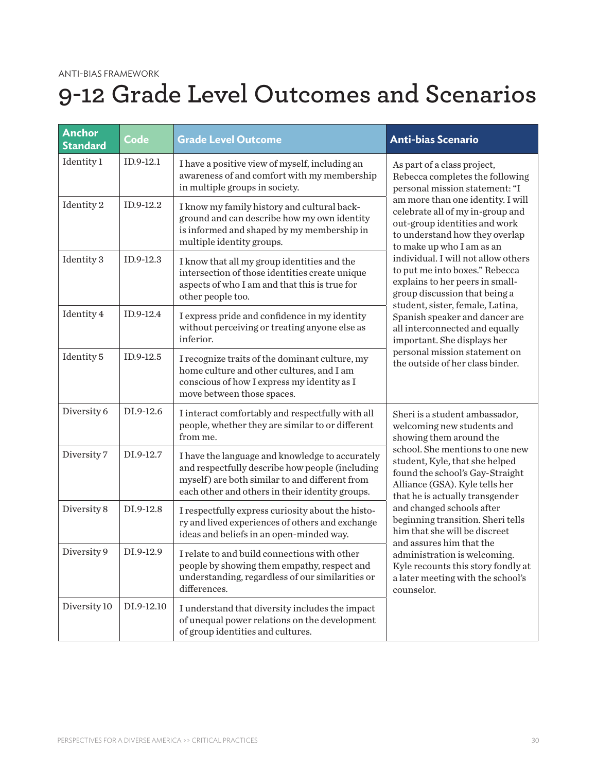## **9-12 Grade Level Outcomes and Scenarios**

| <b>Anchor</b><br><b>Standard</b> | Code       | <b>Grade Level Outcome</b>                                                                                                                                                                              | <b>Anti-bias Scenario</b>                                                                                                                                                                                                                                                                                                                                                                                                                                                                                                                                                                                                                                                                                                                                                                                                                                                             |
|----------------------------------|------------|---------------------------------------------------------------------------------------------------------------------------------------------------------------------------------------------------------|---------------------------------------------------------------------------------------------------------------------------------------------------------------------------------------------------------------------------------------------------------------------------------------------------------------------------------------------------------------------------------------------------------------------------------------------------------------------------------------------------------------------------------------------------------------------------------------------------------------------------------------------------------------------------------------------------------------------------------------------------------------------------------------------------------------------------------------------------------------------------------------|
| Identity 1                       | ID.9-12.1  | I have a positive view of myself, including an<br>awareness of and comfort with my membership<br>in multiple groups in society.                                                                         | As part of a class project,<br>Rebecca completes the following<br>personal mission statement: "I                                                                                                                                                                                                                                                                                                                                                                                                                                                                                                                                                                                                                                                                                                                                                                                      |
| Identity 2                       | ID.9-12.2  | I know my family history and cultural back-<br>ground and can describe how my own identity<br>is informed and shaped by my membership in<br>multiple identity groups.                                   | am more than one identity. I will<br>celebrate all of my in-group and<br>out-group identities and work<br>to understand how they overlap<br>to make up who I am as an                                                                                                                                                                                                                                                                                                                                                                                                                                                                                                                                                                                                                                                                                                                 |
| Identity 3                       | ID.9-12.3  | I know that all my group identities and the<br>intersection of those identities create unique<br>aspects of who I am and that this is true for<br>other people too.                                     | individual. I will not allow others<br>to put me into boxes." Rebecca<br>explains to her peers in small-<br>group discussion that being a<br>student, sister, female, Latina,<br>Spanish speaker and dancer are<br>all interconnected and equally<br>important. She displays her<br>personal mission statement on<br>the outside of her class binder.<br>Sheri is a student ambassador,<br>welcoming new students and<br>showing them around the<br>school. She mentions to one new<br>student, Kyle, that she helped<br>found the school's Gay-Straight<br>Alliance (GSA). Kyle tells her<br>that he is actually transgender<br>and changed schools after<br>beginning transition. Sheri tells<br>him that she will be discreet<br>and assures him that the<br>administration is welcoming.<br>Kyle recounts this story fondly at<br>a later meeting with the school's<br>counselor. |
| Identity 4                       | ID.9-12.4  | I express pride and confidence in my identity<br>without perceiving or treating anyone else as<br>inferior.                                                                                             |                                                                                                                                                                                                                                                                                                                                                                                                                                                                                                                                                                                                                                                                                                                                                                                                                                                                                       |
| Identity 5                       | ID.9-12.5  | I recognize traits of the dominant culture, my<br>home culture and other cultures, and I am<br>conscious of how I express my identity as I<br>move between those spaces.                                |                                                                                                                                                                                                                                                                                                                                                                                                                                                                                                                                                                                                                                                                                                                                                                                                                                                                                       |
| Diversity 6                      | DI.9-12.6  | I interact comfortably and respectfully with all<br>people, whether they are similar to or different<br>from me.                                                                                        |                                                                                                                                                                                                                                                                                                                                                                                                                                                                                                                                                                                                                                                                                                                                                                                                                                                                                       |
| Diversity 7                      | DI.9-12.7  | I have the language and knowledge to accurately<br>and respectfully describe how people (including<br>myself) are both similar to and different from<br>each other and others in their identity groups. |                                                                                                                                                                                                                                                                                                                                                                                                                                                                                                                                                                                                                                                                                                                                                                                                                                                                                       |
| Diversity 8                      | DI.9-12.8  | I respectfully express curiosity about the histo-<br>ry and lived experiences of others and exchange<br>ideas and beliefs in an open-minded way.                                                        |                                                                                                                                                                                                                                                                                                                                                                                                                                                                                                                                                                                                                                                                                                                                                                                                                                                                                       |
| Diversity 9                      | DI.9-12.9  | I relate to and build connections with other<br>people by showing them empathy, respect and<br>understanding, regardless of our similarities or<br>differences.                                         |                                                                                                                                                                                                                                                                                                                                                                                                                                                                                                                                                                                                                                                                                                                                                                                                                                                                                       |
| Diversity 10                     | DI.9-12.10 | I understand that diversity includes the impact<br>of unequal power relations on the development<br>of group identities and cultures.                                                                   |                                                                                                                                                                                                                                                                                                                                                                                                                                                                                                                                                                                                                                                                                                                                                                                                                                                                                       |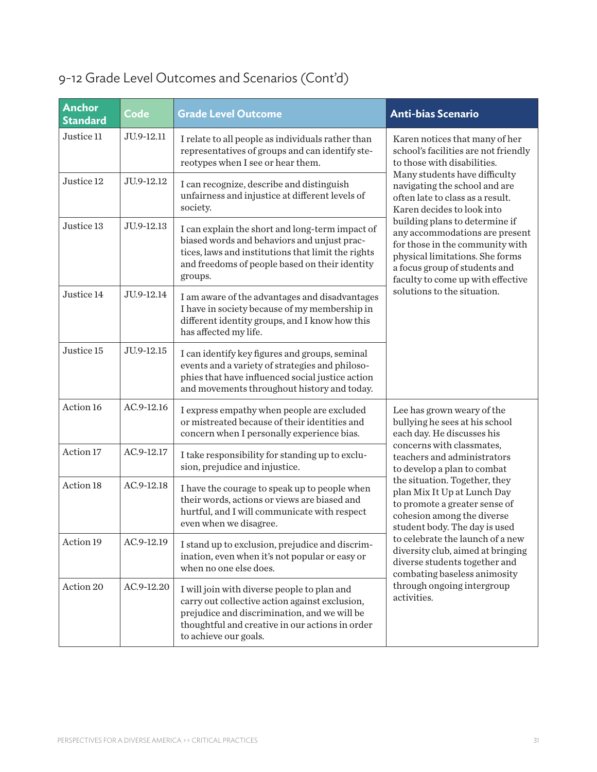| <b>Anchor</b><br><b>Standard</b> | Code       | <b>Grade Level Outcome</b>                                                                                                                                                                                                | <b>Anti-bias Scenario</b>                                                                                                                                                                                                                                                                                                                                                                                                                                                                                                                                                                                                                                                                                                                                                                                                                                                                                                       |
|----------------------------------|------------|---------------------------------------------------------------------------------------------------------------------------------------------------------------------------------------------------------------------------|---------------------------------------------------------------------------------------------------------------------------------------------------------------------------------------------------------------------------------------------------------------------------------------------------------------------------------------------------------------------------------------------------------------------------------------------------------------------------------------------------------------------------------------------------------------------------------------------------------------------------------------------------------------------------------------------------------------------------------------------------------------------------------------------------------------------------------------------------------------------------------------------------------------------------------|
| Justice 11                       | JU.9-12.11 | I relate to all people as individuals rather than<br>representatives of groups and can identify ste-<br>reotypes when I see or hear them.                                                                                 | Karen notices that many of her<br>school's facilities are not friendly<br>to those with disabilities.                                                                                                                                                                                                                                                                                                                                                                                                                                                                                                                                                                                                                                                                                                                                                                                                                           |
| Justice 12                       | JU.9-12.12 | I can recognize, describe and distinguish<br>unfairness and injustice at different levels of<br>society.                                                                                                                  | Many students have difficulty<br>navigating the school and are<br>often late to class as a result.<br>Karen decides to look into<br>building plans to determine if<br>any accommodations are present<br>for those in the community with<br>physical limitations. She forms<br>a focus group of students and<br>faculty to come up with effective<br>solutions to the situation.<br>Lee has grown weary of the<br>bullying he sees at his school<br>each day. He discusses his<br>concerns with classmates,<br>teachers and administrators<br>to develop a plan to combat<br>the situation. Together, they<br>plan Mix It Up at Lunch Day<br>to promote a greater sense of<br>cohesion among the diverse<br>student body. The day is used<br>to celebrate the launch of a new<br>diversity club, aimed at bringing<br>diverse students together and<br>combating baseless animosity<br>through ongoing intergroup<br>activities. |
| Justice 13                       | JU.9-12.13 | I can explain the short and long-term impact of<br>biased words and behaviors and unjust prac-<br>tices, laws and institutions that limit the rights<br>and freedoms of people based on their identity<br>groups.         |                                                                                                                                                                                                                                                                                                                                                                                                                                                                                                                                                                                                                                                                                                                                                                                                                                                                                                                                 |
| Justice 14                       | JU.9-12.14 | I am aware of the advantages and disadvantages<br>I have in society because of my membership in<br>different identity groups, and I know how this<br>has affected my life.                                                |                                                                                                                                                                                                                                                                                                                                                                                                                                                                                                                                                                                                                                                                                                                                                                                                                                                                                                                                 |
| Justice 15                       | JU.9-12.15 | I can identify key figures and groups, seminal<br>events and a variety of strategies and philoso-<br>phies that have influenced social justice action<br>and movements throughout history and today.                      |                                                                                                                                                                                                                                                                                                                                                                                                                                                                                                                                                                                                                                                                                                                                                                                                                                                                                                                                 |
| Action 16                        | AC.9-12.16 | I express empathy when people are excluded<br>or mistreated because of their identities and<br>concern when I personally experience bias.                                                                                 |                                                                                                                                                                                                                                                                                                                                                                                                                                                                                                                                                                                                                                                                                                                                                                                                                                                                                                                                 |
| Action 17                        | AC.9-12.17 | I take responsibility for standing up to exclu-<br>sion, prejudice and injustice.                                                                                                                                         |                                                                                                                                                                                                                                                                                                                                                                                                                                                                                                                                                                                                                                                                                                                                                                                                                                                                                                                                 |
| Action 18                        | AC.9-12.18 | I have the courage to speak up to people when<br>their words, actions or views are biased and<br>hurtful, and I will communicate with respect<br>even when we disagree.                                                   |                                                                                                                                                                                                                                                                                                                                                                                                                                                                                                                                                                                                                                                                                                                                                                                                                                                                                                                                 |
| Action 19                        | AC.9-12.19 | I stand up to exclusion, prejudice and discrim-<br>ination, even when it's not popular or easy or<br>when no one else does.                                                                                               |                                                                                                                                                                                                                                                                                                                                                                                                                                                                                                                                                                                                                                                                                                                                                                                                                                                                                                                                 |
| Action 20                        | AC.9-12.20 | I will join with diverse people to plan and<br>carry out collective action against exclusion,<br>prejudice and discrimination, and we will be<br>thoughtful and creative in our actions in order<br>to achieve our goals. |                                                                                                                                                                                                                                                                                                                                                                                                                                                                                                                                                                                                                                                                                                                                                                                                                                                                                                                                 |

### 9-12 Grade Level Outcomes and Scenarios (Cont'd)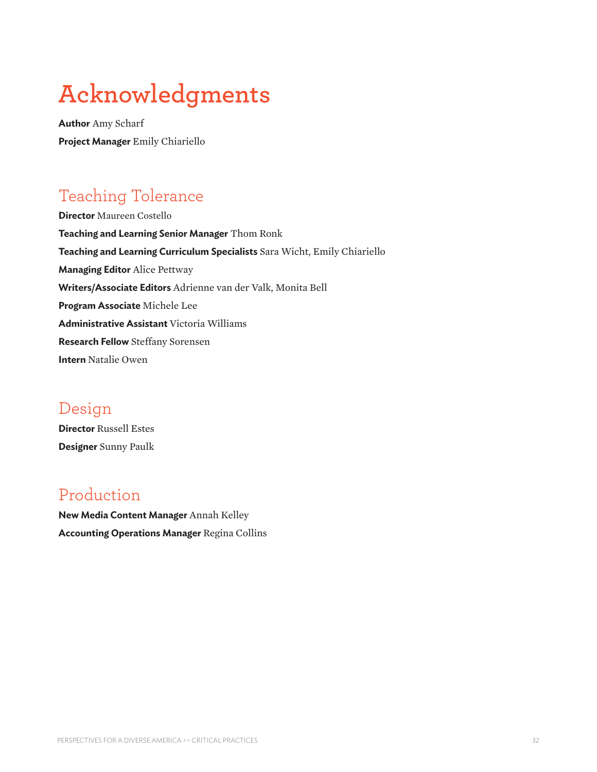## **Acknowledgments**

**Author** Amy Scharf **Project Manager** Emily Chiariello

## Teaching Tolerance

**Director** Maureen Costello **Teaching and Learning Senior Manager** Thom Ronk **Teaching and Learning Curriculum Specialists** Sara Wicht, Emily Chiariello **Managing Editor** Alice Pettway **Writers/Associate Editors** Adrienne van der Valk, Monita Bell **Program Associate** Michele Lee **Administrative Assistant** Victoria Williams **Research Fellow** Steffany Sorensen **Intern** Natalie Owen

### Design

**Director** Russell Estes **Designer** Sunny Paulk

### Production

**New Media Content Manager** Annah Kelley **Accounting Operations Manager** Regina Collins